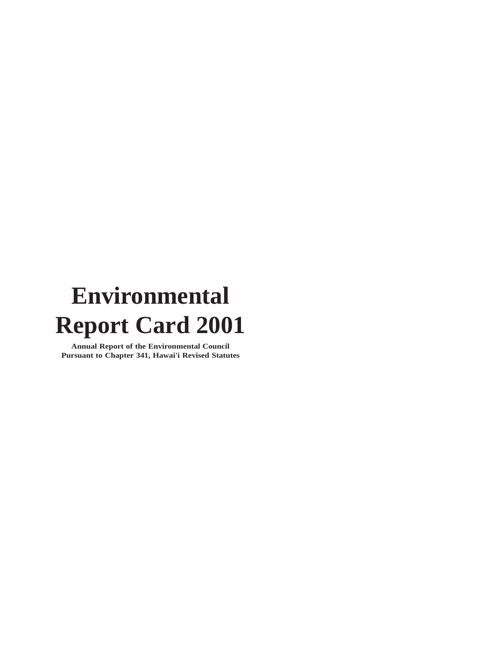# **Environmental Report Card 2001**

**Annual Report of the Environmental Council Pursuant to Chapter 341, Hawai'i Revised Statutes**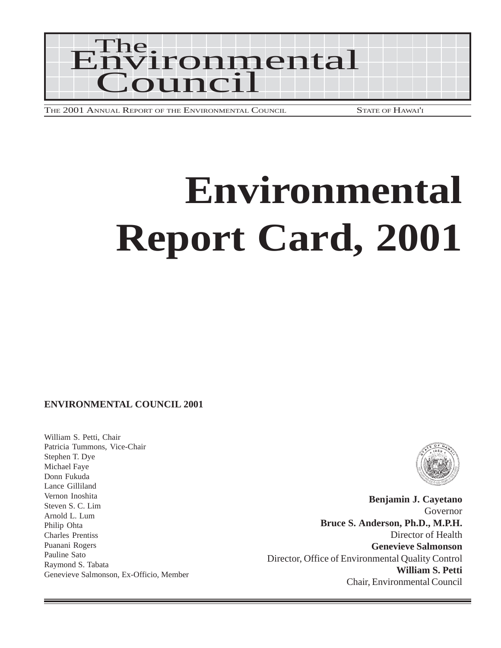

THE 2001 ANNUAL REPORT OF THE ENVIRONMENTAL COUNCIL STATE OF HAWAI'I

# **Environmental Report Card, 2001**

### **ENVIRONMENTAL COUNCIL 2001**

William S. Petti, Chair Patricia Tummons, Vice-Chair Stephen T. Dye Michael Faye Donn Fukuda Lance Gilliland Vernon Inoshita Steven S. C. Lim Arnold L. Lum Philip Ohta Charles Prentiss Puanani Rogers Pauline Sato Raymond S. Tabata Genevieve Salmonson, Ex-Officio, Member



**Benjamin J. Cayetano** Governor **Bruce S. Anderson, Ph.D., M.P.H.** Director of Health **Genevieve Salmonson** Director, Office of Environmental Quality Control **William S. Petti** Chair, Environmental Council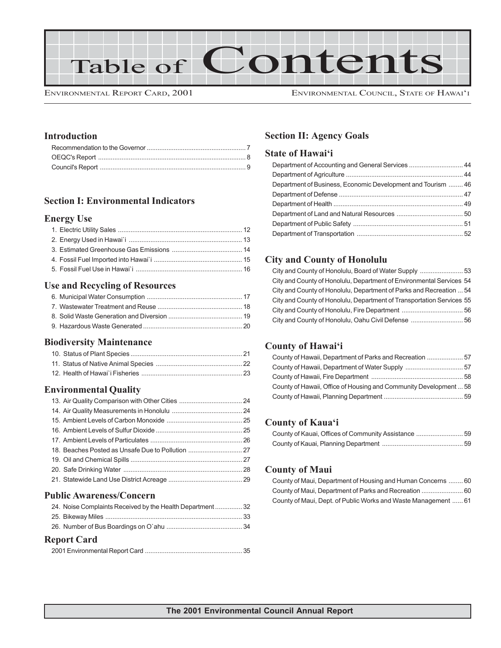# Table of Contents

ENVIRONMENTAL REPORT CARD, 2001 ENVIRONMENTAL COUNCIL, STATE OF HAWAI'I

### **Introduction**

### **Section I: Environmental Indicators**

### **Energy Use**

### **Use and Recycling of Resources**

### **Biodiversity Maintenance**

### **Environmental Quality**

### **Public Awareness/Concern**

| 24. Noise Complaints Received by the Health Department 32 |  |
|-----------------------------------------------------------|--|
|                                                           |  |
|                                                           |  |
| <b>Report Card</b>                                        |  |
|                                                           |  |

### **Section II: Agency Goals**

### **State of Hawai'i**

| Department of Accounting and General Services  44            |  |
|--------------------------------------------------------------|--|
|                                                              |  |
| Department of Business, Economic Development and Tourism  46 |  |
|                                                              |  |
|                                                              |  |
|                                                              |  |
|                                                              |  |
|                                                              |  |

### **City and County of Honolulu**

| City and County of Honolulu, Board of Water Supply 53                 |  |
|-----------------------------------------------------------------------|--|
| City and County of Honolulu, Department of Environmental Services 54  |  |
| City and County of Honolulu, Department of Parks and Recreation  54   |  |
| City and County of Honolulu, Department of Transportation Services 55 |  |
|                                                                       |  |
| City and County of Honolulu, Oahu Civil Defense 56                    |  |

### **County of Hawai'i**

| County of Hawaii, Department of Parks and Recreation 57           |  |
|-------------------------------------------------------------------|--|
|                                                                   |  |
|                                                                   |  |
| County of Hawaii, Office of Housing and Community Development  58 |  |
|                                                                   |  |

### **County of Kaua'i**

### **County of Maui**

| County of Maui. Department of Housing and Human Concerns  60   |  |
|----------------------------------------------------------------|--|
|                                                                |  |
| County of Maui, Dept. of Public Works and Waste Management  61 |  |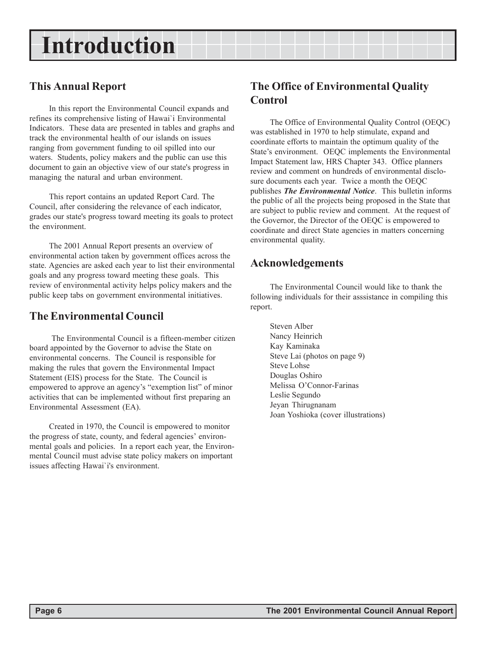# **Introduction**

# **This Annual Report**

In this report the Environmental Council expands and refines its comprehensive listing of Hawai`i Environmental Indicators. These data are presented in tables and graphs and track the environmental health of our islands on issues ranging from government funding to oil spilled into our waters. Students, policy makers and the public can use this document to gain an objective view of our state's progress in managing the natural and urban environment.

This report contains an updated Report Card. The Council, after considering the relevance of each indicator, grades our state's progress toward meeting its goals to protect the environment.

The 2001 Annual Report presents an overview of environmental action taken by government offices across the state. Agencies are asked each year to list their environmental goals and any progress toward meeting these goals. This review of environmental activity helps policy makers and the public keep tabs on government environmental initiatives.

### **The Environmental Council**

 The Environmental Council is a fifteen-member citizen board appointed by the Governor to advise the State on environmental concerns. The Council is responsible for making the rules that govern the Environmental Impact Statement (EIS) process for the State. The Council is empowered to approve an agency's "exemption list" of minor activities that can be implemented without first preparing an Environmental Assessment (EA).

Created in 1970, the Council is empowered to monitor the progress of state, county, and federal agencies' environmental goals and policies. In a report each year, the Environmental Council must advise state policy makers on important issues affecting Hawai`i's environment.

# **The Office of Environmental Quality Control**

The Office of Environmental Quality Control (OEQC) was established in 1970 to help stimulate, expand and coordinate efforts to maintain the optimum quality of the State's environment. OEQC implements the Environmental Impact Statement law, HRS Chapter 343. Office planners review and comment on hundreds of environmental disclosure documents each year. Twice a month the OEQC publishes *The Environmental Notice*. This bulletin informs the public of all the projects being proposed in the State that are subject to public review and comment. At the request of the Governor, the Director of the OEQC is empowered to coordinate and direct State agencies in matters concerning environmental quality.

### **Acknowledgements**

The Environmental Council would like to thank the following individuals for their asssistance in compiling this report.

Steven Alber Nancy Heinrich Kay Kaminaka Steve Lai (photos on page 9) Steve Lohse Douglas Oshiro Melissa O'Connor-Farinas Leslie Segundo Jeyan Thirugnanam Joan Yoshioka (cover illustrations)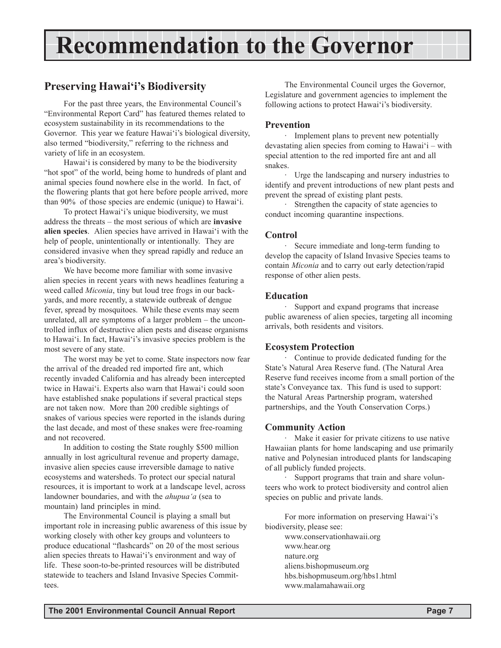# **Recommendation to the Governor**

# **Preserving Hawai'i's Biodiversity**

For the past three years, the Environmental Council's "Environmental Report Card" has featured themes related to ecosystem sustainability in its recommendations to the Governor. This year we feature Hawai'i's biological diversity, also termed "biodiversity," referring to the richness and variety of life in an ecosystem.

Hawai'i is considered by many to be the biodiversity "hot spot" of the world, being home to hundreds of plant and animal species found nowhere else in the world. In fact, of the flowering plants that got here before people arrived, more than 90% of those species are endemic (unique) to Hawai'i.

To protect Hawai'i's unique biodiversity, we must address the threats – the most serious of which are **invasive alien species**. Alien species have arrived in Hawai'i with the help of people, unintentionally or intentionally. They are considered invasive when they spread rapidly and reduce an area's biodiversity.

We have become more familiar with some invasive alien species in recent years with news headlines featuring a weed called *Miconia*, tiny but loud tree frogs in our backyards, and more recently, a statewide outbreak of dengue fever, spread by mosquitoes. While these events may seem unrelated, all are symptoms of a larger problem – the uncontrolled influx of destructive alien pests and disease organisms to Hawai'i. In fact, Hawai'i's invasive species problem is the most severe of any state.

The worst may be yet to come. State inspectors now fear the arrival of the dreaded red imported fire ant, which recently invaded California and has already been intercepted twice in Hawai'i. Experts also warn that Hawai'i could soon have established snake populations if several practical steps are not taken now. More than 200 credible sightings of snakes of various species were reported in the islands during the last decade, and most of these snakes were free-roaming and not recovered.

In addition to costing the State roughly \$500 million annually in lost agricultural revenue and property damage, invasive alien species cause irreversible damage to native ecosystems and watersheds. To protect our special natural resources, it is important to work at a landscape level, across landowner boundaries, and with the *ahupua'a* (sea to mountain) land principles in mind.

The Environmental Council is playing a small but important role in increasing public awareness of this issue by working closely with other key groups and volunteers to produce educational "flashcards" on 20 of the most serious alien species threats to Hawai'i's environment and way of life. These soon-to-be-printed resources will be distributed statewide to teachers and Island Invasive Species Committees.

The Environmental Council urges the Governor, Legislature and government agencies to implement the following actions to protect Hawai'i's biodiversity.

### **Prevention**

· Implement plans to prevent new potentially devastating alien species from coming to Hawai'i – with special attention to the red imported fire ant and all snakes.

· Urge the landscaping and nursery industries to identify and prevent introductions of new plant pests and prevent the spread of existing plant pests.

· Strengthen the capacity of state agencies to conduct incoming quarantine inspections.

### **Control**

Secure immediate and long-term funding to develop the capacity of Island Invasive Species teams to contain *Miconia* and to carry out early detection/rapid response of other alien pests.

### **Education**

· Support and expand programs that increase public awareness of alien species, targeting all incoming arrivals, both residents and visitors.

### **Ecosystem Protection**

· Continue to provide dedicated funding for the State's Natural Area Reserve fund. (The Natural Area Reserve fund receives income from a small portion of the state's Conveyance tax. This fund is used to support: the Natural Areas Partnership program, watershed partnerships, and the Youth Conservation Corps.)

### **Community Action**

Make it easier for private citizens to use native Hawaiian plants for home landscaping and use primarily native and Polynesian introduced plants for landscaping of all publicly funded projects.

· Support programs that train and share volunteers who work to protect biodiversity and control alien species on public and private lands.

For more information on preserving Hawai'i's biodiversity, please see:

www.conservationhawaii.org www.hear.org nature.org aliens.bishopmuseum.org hbs.bishopmuseum.org/hbs1.html www.malamahawaii.org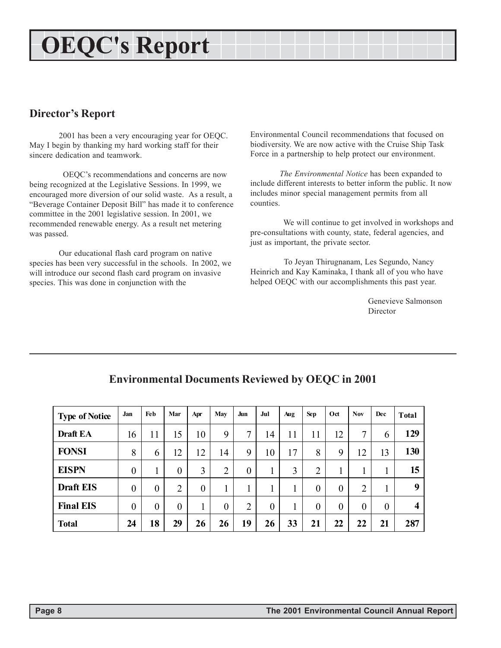# **OEQC's Report**

# **Director's Report**

2001 has been a very encouraging year for OEQC. May I begin by thanking my hard working staff for their sincere dedication and teamwork.

 OEQC's recommendations and concerns are now being recognized at the Legislative Sessions. In 1999, we encouraged more diversion of our solid waste. As a result, a "Beverage Container Deposit Bill" has made it to conference committee in the 2001 legislative session. In 2001, we recommended renewable energy. As a result net metering was passed.

Our educational flash card program on native species has been very successful in the schools. In 2002, we will introduce our second flash card program on invasive species. This was done in conjunction with the

Environmental Council recommendations that focused on biodiversity. We are now active with the Cruise Ship Task Force in a partnership to help protect our environment.

*The Environmental Notice* has been expanded to include different interests to better inform the public. It now includes minor special management permits from all counties.

 We will continue to get involved in workshops and pre-consultations with county, state, federal agencies, and just as important, the private sector.

 To Jeyan Thirugnanam, Les Segundo, Nancy Heinrich and Kay Kaminaka, I thank all of you who have helped OEQC with our accomplishments this past year.

> Genevieve Salmonson **Director**

| <b>Type of Notice</b> | Jan              | Feb            | Mar            | Apr              | May              | Jun            | Jul              | Aug    | <b>Sep</b>     | Oct            | <b>Nov</b>       | Dec            | <b>T</b> otal           |
|-----------------------|------------------|----------------|----------------|------------------|------------------|----------------|------------------|--------|----------------|----------------|------------------|----------------|-------------------------|
| <b>Draft EA</b>       | 16               | 11             | 15             | 10               | 9                | 7              | 14               | 11     | 11             | 12             | 7                | 6              | 129                     |
| <b>FONSI</b>          | 8                | 6              | 12             | 12               | 14               | 9              | 10               | $17\,$ | 8              | 9              | 12               | 13             | 130                     |
| <b>EISPN</b>          | $\boldsymbol{0}$ | T              | $\overline{0}$ | 3                | $\overline{2}$   | $\overline{0}$ |                  | 3      | $\overline{2}$ | ı              |                  |                | 15                      |
| <b>Draft EIS</b>      | $\overline{0}$   | $\overline{0}$ | $\overline{2}$ | $\boldsymbol{0}$ |                  | 1              |                  | 1      | $\overline{0}$ | $\theta$       | $\overline{2}$   | L              | <b>Q</b>                |
| <b>Final EIS</b>      | $\overline{0}$   | $\theta$       | $\overline{0}$ | 1                | $\boldsymbol{0}$ | $\overline{2}$ | $\boldsymbol{0}$ | 1      | $\overline{0}$ | $\overline{0}$ | $\boldsymbol{0}$ | $\overline{0}$ | $\overline{\mathbf{4}}$ |
| <b>Total</b>          | 24               | 18             | 29             | 26               | 26               | 19             | 26               | 33     | 21             | 22             | 22               | 21             | 287                     |

### **Environmental Documents Reviewed by OEQC in 2001**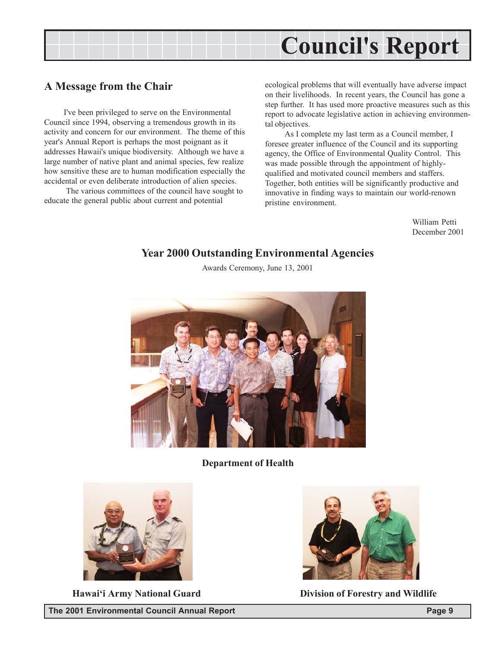

### **A Message from the Chair**

I've been privileged to serve on the Environmental Council since 1994, observing a tremendous growth in its activity and concern for our environment. The theme of this year's Annual Report is perhaps the most poignant as it addresses Hawaii's unique biodiversity. Although we have a large number of native plant and animal species, few realize how sensitive these are to human modification especially the accidental or even deliberate introduction of alien species.

 The various committees of the council have sought to educate the general public about current and potential

ecological problems that will eventually have adverse impact on their livelihoods. In recent years, the Council has gone a step further. It has used more proactive measures such as this report to advocate legislative action in achieving environmental objectives.

As I complete my last term as a Council member, I foresee greater influence of the Council and its supporting agency, the Office of Environmental Quality Control. This was made possible through the appointment of highlyqualified and motivated council members and staffers. Together, both entities will be significantly productive and innovative in finding ways to maintain our world-renown pristine environment.

> William Petti December 2001

# **Year 2000 Outstanding Environmental Agencies**

Awards Ceremony, June 13, 2001



**Department of Health**



**The 2001 Environmental Council Annual Report Page 9**



**Hawai'i Army National Guard Division of Forestry and Wildlife**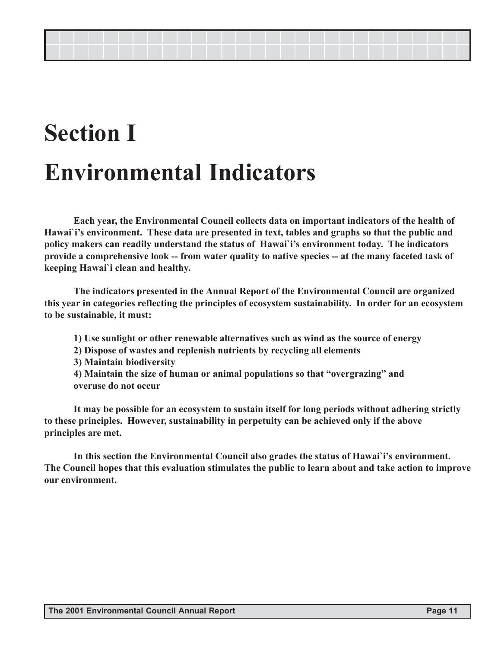# **Section I Environmental Indicators**

**Each year, the Environmental Council collects data on important indicators of the health of Hawai`i's environment. These data are presented in text, tables and graphs so that the public and policy makers can readily understand the status of Hawai`i's environment today. The indicators provide a comprehensive look -- from water quality to native species -- at the many faceted task of keeping Hawai`i clean and healthy.**

**The indicators presented in the Annual Report of the Environmental Council are organized this year in categories reflecting the principles of ecosystem sustainability. In order for an ecosystem to be sustainable, it must:**

- **1) Use sunlight or other renewable alternatives such as wind as the source of energy**
- **2) Dispose of wastes and replenish nutrients by recycling all elements**
- **3) Maintain biodiversity**
- **4) Maintain the size of human or animal populations so that "overgrazing" and overuse do not occur**

**It may be possible for an ecosystem to sustain itself for long periods without adhering strictly to these principles. However, sustainability in perpetuity can be achieved only if the above principles are met.**

**In this section the Environmental Council also grades the status of Hawai`i's environment. The Council hopes that this evaluation stimulates the public to learn about and take action to improve our environment.**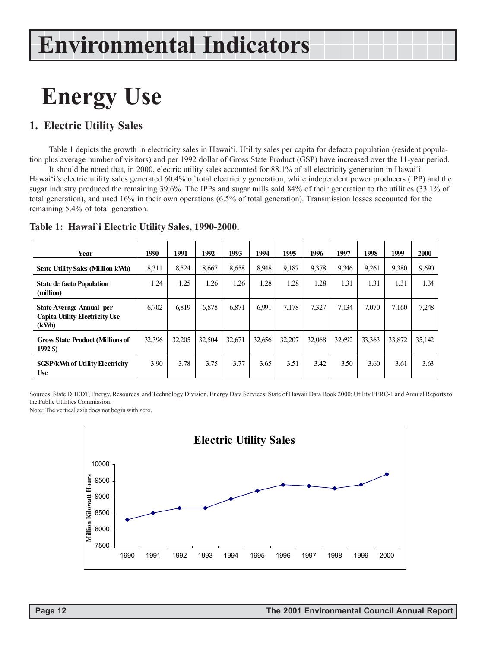# **Energy Use**

# **1. Electric Utility Sales**

Table 1 depicts the growth in electricity sales in Hawai'i. Utility sales per capita for defacto population (resident population plus average number of visitors) and per 1992 dollar of Gross State Product (GSP) have increased over the 11-year period.

It should be noted that, in 2000, electric utility sales accounted for 88.1% of all electricity generation in Hawai'i. Hawai'i's electric utility sales generated 60.4% of total electricity generation, while independent power producers (IPP) and the sugar industry produced the remaining 39.6%. The IPPs and sugar mills sold 84% of their generation to the utilities (33.1% of total generation), and used 16% in their own operations (6.5% of total generation). Transmission losses accounted for the remaining 5.4% of total generation.

| Year                                                                       | 1990   | 1991   | 1992   | 1993   | 1994   | 1995   | 1996   | 1997   | 1998   | 1999   | 2000   |
|----------------------------------------------------------------------------|--------|--------|--------|--------|--------|--------|--------|--------|--------|--------|--------|
| <b>State Utility Sales (Million kWh)</b>                                   | 8,311  | 8,524  | 8,667  | 8,658  | 8,948  | 9,187  | 9,378  | 9,346  | 9,261  | 9,380  | 9,690  |
| <b>State de facto Population</b><br>(million)                              | 1.24   | 1.25   | 1.26   | 1.26   | 1.28   | 1.28   | 1.28   | 1.31   | 1.31   | 1.31   | 1.34   |
| State Average Annual per<br><b>Capita Utility Electricity Use</b><br>(kWh) | 6,702  | 6,819  | 6,878  | 6,871  | 6,991  | 7,178  | 7,327  | 7,134  | 7,070  | 7,160  | 7,248  |
| <b>Gross State Product (Millions of</b><br>1992S                           | 32,396 | 32,205 | 32,504 | 32,671 | 32,656 | 32,207 | 32,068 | 32,692 | 33,363 | 33,872 | 35,142 |
| <b>SGSP/kWh of Utility Electricity</b><br><b>Use</b>                       | 3.90   | 3.78   | 3.75   | 3.77   | 3.65   | 3.51   | 3.42   | 3.50   | 3.60   | 3.61   | 3.63   |

**Table 1: Hawai`i Electric Utility Sales, 1990-2000.**

Sources: State DBEDT, Energy, Resources, and Technology Division, Energy Data Services; State of Hawaii Data Book 2000; Utility FERC-1 and Annual Reports to the Public Utilities Commission.

Note: The vertical axis does not begin with zero.

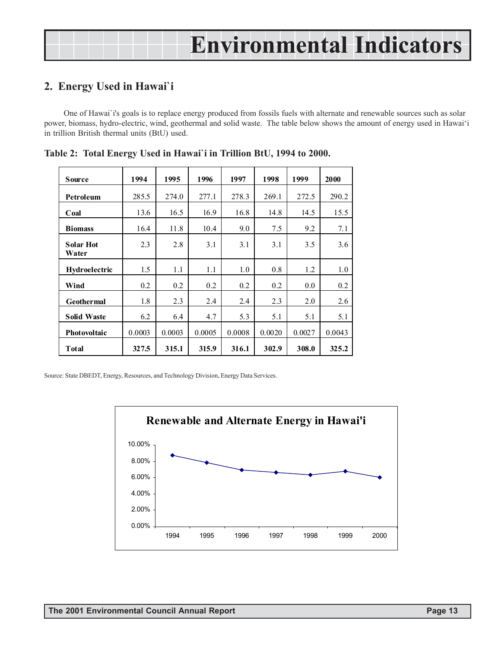# **2. Energy Used in Hawai`i**

One of Hawai`i's goals is to replace energy produced from fossils fuels with alternate and renewable sources such as solar power, biomass, hydro-electric, wind, geothermal and solid waste. The table below shows the amount of energy used in Hawai'i in trillion British thermal units (BtU) used.

| <b>Source</b>             | 1994   | 1995   | 1996   | 1997   | 1998   | 1999   | 2000   |
|---------------------------|--------|--------|--------|--------|--------|--------|--------|
| Petroleum                 | 285.5  | 274.0  | 277.1  | 278.3  | 269.1  | 272.5  | 290.2  |
| Coal                      | 13.6   | 16.5   | 16.9   | 16.8   | 14.8   | 14.5   | 15.5   |
| <b>Biomass</b>            | 16.4   | 11.8   | 10.4   | 9.0    | 7.5    | 9.2    | 7.1    |
| <b>Solar Hot</b><br>Water | 2.3    | 2.8    | 3.1    | 3.1    | 3.1    | 3.5    | 3.6    |
| Hydroelectric             | 1.5    | 1.1    | 1.1    | 1.0    | 0.8    | 1.2    | 1.0    |
| Wind                      | 0.2    | 0.2    | 0.2    | 0.2    | 0.2    | 0.0    | 0.2    |
| <b>Geothermal</b>         | 1.8    | 2.3    | 2.4    | 2.4    | 2.3    | 2.0    | 2.6    |
| <b>Solid Waste</b>        | 6.2    | 6.4    | 4.7    | 5.3    | 5.1    | 5.1    | 5.1    |
| Photovoltaic              | 0.0003 | 0.0003 | 0.0005 | 0.0008 | 0.0020 | 0.0027 | 0.0043 |
| <b>Total</b>              | 327.5  | 315.1  | 315.9  | 316.1  | 302.9  | 308.0  | 325.2  |

**Table 2: Total Energy Used in Hawai`i in Trillion BtU, 1994 to 2000.**

Source: State DBEDT, Energy, Resources, and Technology Division, Energy Data Services.

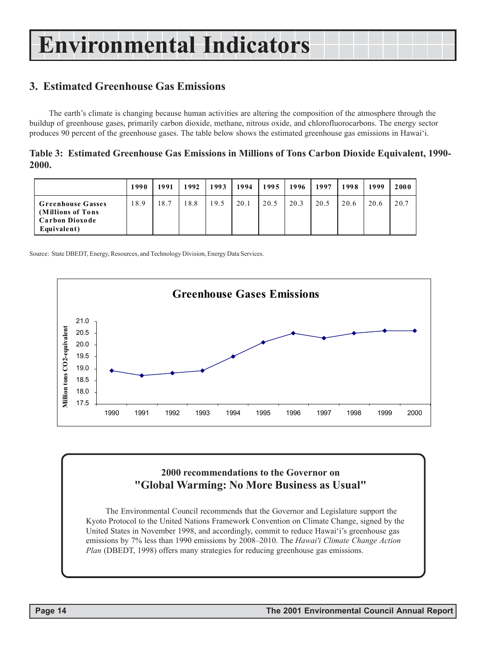# **3. Estimated Greenhouse Gas Emissions**

The earth's climate is changing because human activities are altering the composition of the atmosphere through the buildup of greenhouse gases, primarily carbon dioxide, methane, nitrous oxide, and chlorofluorocarbons. The energy sector produces 90 percent of the greenhouse gases. The table below shows the estimated greenhouse gas emissions in Hawai'i.

**Table 3: Estimated Greenhouse Gas Emissions in Millions of Tons Carbon Dioxide Equivalent, 1990- 2000.**

|                                                                                 | 1990 | 1991 | 1992 | 1993 | 1994 | 1995 | 1996 | 1997 | 998  | 1999 | 2000 |
|---------------------------------------------------------------------------------|------|------|------|------|------|------|------|------|------|------|------|
| <b>Greenhouse Gasses</b><br>(Millions of Tons)<br>Carbon Dioxode<br>Equivalent) | 18.9 | 8.7  | 18.8 | 19.5 | 20.1 | 20.5 | 20.3 | 20.5 | 20.6 | 20.6 | 20.7 |

Source: State DBEDT, Energy, Resources, and Technology Division, Energy Data Services.



### **2000 recommendations to the Governor on "Global Warming: No More Business as Usual"**

The Environmental Council recommends that the Governor and Legislature support the Kyoto Protocol to the United Nations Framework Convention on Climate Change, signed by the United States in November 1998, and accordingly, commit to reduce Hawai'i's greenhouse gas emissions by 7% less than 1990 emissions by 2008–2010. The *Hawai'i Climate Change Action Plan* (DBEDT, 1998) offers many strategies for reducing greenhouse gas emissions.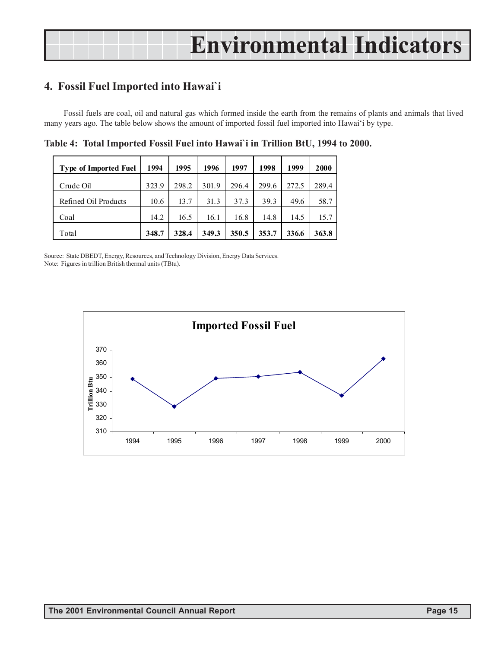# **4. Fossil Fuel Imported into Hawai`i**

Fossil fuels are coal, oil and natural gas which formed inside the earth from the remains of plants and animals that lived many years ago. The table below shows the amount of imported fossil fuel imported into Hawai'i by type.

| <b>Type of Imported Fuel</b> | 1994  | 1995  | 1996  | 1997  | 1998  | 1999  | 2000  |
|------------------------------|-------|-------|-------|-------|-------|-------|-------|
| Crude Oil                    | 323.9 | 298.2 | 301.9 | 296.4 | 299.6 | 272.5 | 289.4 |
| Refined Oil Products         | 10.6  | 13.7  | 31.3  | 37.3  | 39.3  | 49.6  | 58.7  |
| Coal                         | 14.2  | 16.5  | 16.1  | 16.8  | 14.8  | 14.5  | 15.7  |
| Total                        | 348.7 | 328.4 | 349.3 | 350.5 | 353.7 | 336.6 | 363.8 |

**Table 4: Total Imported Fossil Fuel into Hawai`i in Trillion BtU, 1994 to 2000.**

Source: State DBEDT, Energy, Resources, and Technology Division, Energy Data Services. Note: Figures in trillion British thermal units (TBtu).

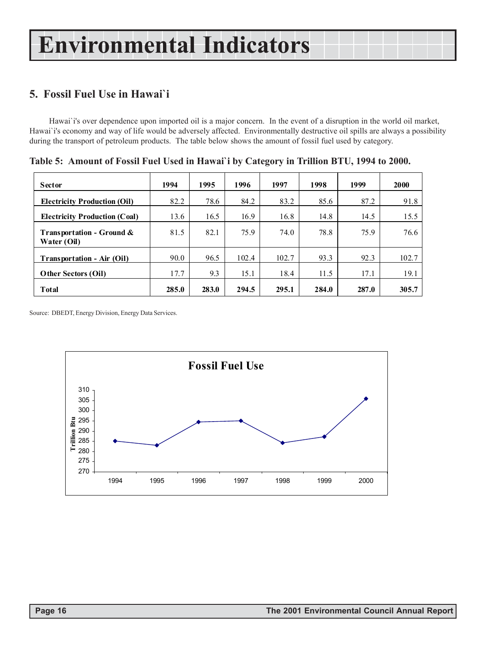# **5. Fossil Fuel Use in Hawai`i**

Hawai'i's over dependence upon imported oil is a major concern. In the event of a disruption in the world oil market, Hawai`i's economy and way of life would be adversely affected. Environmentally destructive oil spills are always a possibility during the transport of petroleum products. The table below shows the amount of fossil fuel used by category.

| <b>Sector</b>                                       | 1994  | 1995  | 1996  | 1997  | 1998  | 1999  | 2000  |
|-----------------------------------------------------|-------|-------|-------|-------|-------|-------|-------|
| <b>Electricity Production (Oil)</b>                 | 82.2  | 78.6  | 84.2  | 83.2  | 85.6  | 87.2  | 91.8  |
| <b>Electricity Production (Coal)</b>                | 13.6  | 16.5  | 16.9  | 16.8  | 14.8  | 14.5  | 15.5  |
| <b>Transportation - Ground &amp;</b><br>Water (Oil) | 81.5  | 82.1  | 75.9  | 74.0  | 78.8  | 75.9  | 76.6  |
| <b>Transportation - Air (Oil)</b>                   | 90.0  | 96.5  | 102.4 | 102.7 | 93.3  | 92.3  | 102.7 |
| <b>Other Sectors (Oil)</b>                          | 17.7  | 9.3   | 15.1  | 18.4  | 11.5  | 17.1  | 19.1  |
| <b>Total</b>                                        | 285.0 | 283.0 | 294.5 | 295.1 | 284.0 | 287.0 | 305.7 |

**Table 5: Amount of Fossil Fuel Used in Hawai`i by Category in Trillion BTU, 1994 to 2000.**

Source: DBEDT, Energy Division, Energy Data Services.

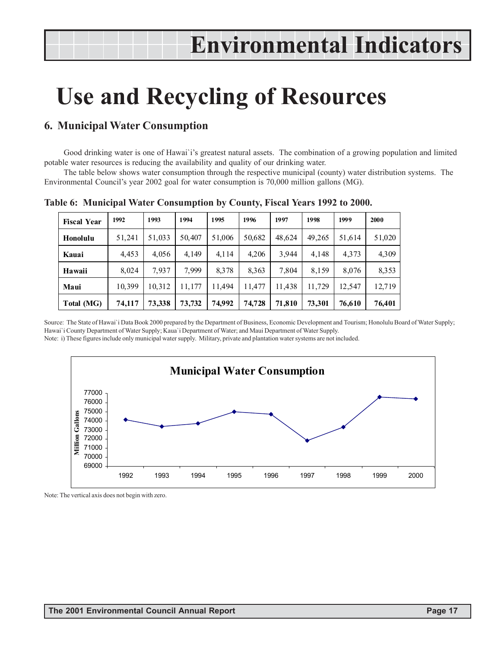# **Use and Recycling of Resources**

### **6. Municipal Water Consumption**

Good drinking water is one of Hawai`i's greatest natural assets. The combination of a growing population and limited potable water resources is reducing the availability and quality of our drinking water.

The table below shows water consumption through the respective municipal (county) water distribution systems. The Environmental Council's year 2002 goal for water consumption is 70,000 million gallons (MG).

| <b>Fiscal Year</b> | 1992   | 1993   | 1994   | 1995   | 1996   | 1997   | 1998   | 1999   | 2000   |
|--------------------|--------|--------|--------|--------|--------|--------|--------|--------|--------|
| Honolulu           | 51,241 | 51,033 | 50,407 | 51,006 | 50,682 | 48,624 | 49,265 | 51,614 | 51,020 |
| Kauai              | 4,453  | 4,056  | 4.149  | 4.114  | 4,206  | 3,944  | 4,148  | 4,373  | 4,309  |
| Hawaii             | 8,024  | 7,937  | 7,999  | 8,378  | 8,363  | 7,804  | 8,159  | 8,076  | 8,353  |
| Maui               | 10,399 | 10,312 | 11,177 | 11,494 | 11,477 | 11,438 | 11,729 | 12,547 | 12,719 |
| Total (MG)         | 74,117 | 73,338 | 73,732 | 74,992 | 74,728 | 71,810 | 73,301 | 76,610 | 76,401 |

**Table 6: Municipal Water Consumption by County, Fiscal Years 1992 to 2000.**

Source: The State of Hawai`i Data Book 2000 prepared by the Department of Business, Economic Development and Tourism; Honolulu Board of Water Supply; Hawai`i County Department of Water Supply; Kaua`i Department of Water; and Maui Department of Water Supply.

Note: i) These figures include only municipal water supply. Military, private and plantation water systems are not included.



Note: The vertical axis does not begin with zero.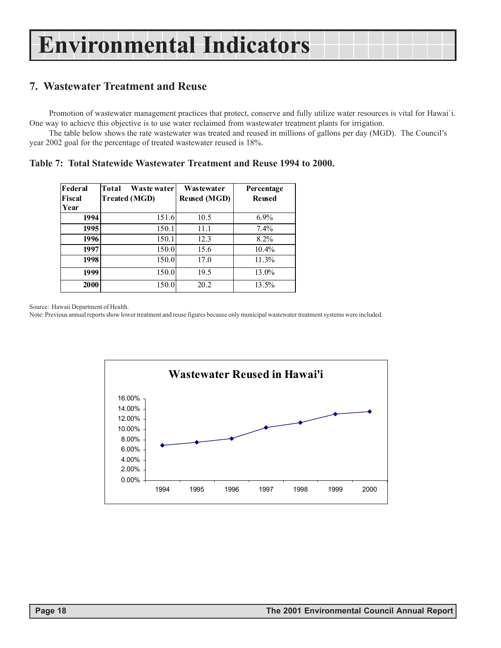# **7. Wastewater Treatment and Reuse**

Promotion of wastewater management practices that protect, conserve and fully utilize water resources is vital for Hawai`i. One way to achieve this objective is to use water reclaimed from wastewater treatment plants for irrigation.

The table below shows the rate wastewater was treated and reused in millions of gallons per day (MGD). The Council's year 2002 goal for the percentage of treated wastewater reused is 18%.

**Table 7: Total Statewide Wastewater Treatment and Reuse 1994 to 2000.**

| Federal<br>Fiscal<br>Year | Total<br>Waste water<br><b>Treated (MGD)</b> | Wastewater<br><b>Reused (MGD)</b> | Percentage<br><b>Reused</b> |
|---------------------------|----------------------------------------------|-----------------------------------|-----------------------------|
| 1994                      | 151.6                                        | 10.5                              | $6.9\%$                     |
| 1995                      | 150.1                                        | 11.1                              | 7.4%                        |
| 1996                      | 150.1                                        | 12.3                              | 8.2%                        |
| 1997                      | 150.0                                        | 15.6                              | 10.4%                       |
| 1998                      | 150.0                                        | 17.0                              | 11.3%                       |
| 1999                      | 150.0                                        | 19.5                              | 13.0%                       |
| 2000                      | 150.0                                        | 20.2                              | 13.5%                       |

Source: Hawaii Department of Health.

Note: Previous annual reports show lower treatment and reuse figures because only municipal wastewater treatment systems were included.

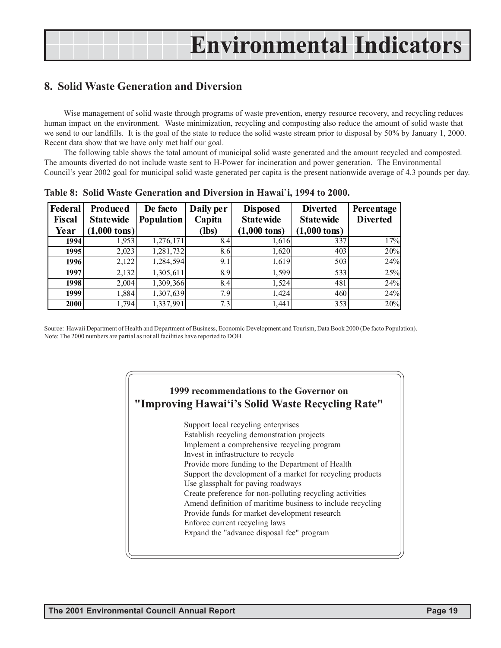# **8. Solid Waste Generation and Diversion**

Wise management of solid waste through programs of waste prevention, energy resource recovery, and recycling reduces human impact on the environment. Waste minimization, recycling and composting also reduce the amount of solid waste that we send to our landfills. It is the goal of the state to reduce the solid waste stream prior to disposal by 50% by January 1, 2000. Recent data show that we have only met half our goal.

The following table shows the total amount of municipal solid waste generated and the amount recycled and composted. The amounts diverted do not include waste sent to H-Power for incineration and power generation. The Environmental Council's year 2002 goal for municipal solid waste generated per capita is the present nationwide average of 4.3 pounds per day.

| <b>Federal</b><br><b>Fiscal</b><br>Year | <b>Produced</b><br><b>Statewide</b><br>$(1,000 \text{ tons})$ | De facto<br><b>Population</b> | Daily per<br>Capita<br>(lbs) | <b>Disposed</b><br><b>Statewide</b><br>$(1,000 \text{ tons})$ | <b>Diverted</b><br><b>Statewide</b><br>$(1,000 \text{ tons})$ | Percentage<br><b>Diverted</b> |
|-----------------------------------------|---------------------------------------------------------------|-------------------------------|------------------------------|---------------------------------------------------------------|---------------------------------------------------------------|-------------------------------|
|                                         |                                                               |                               |                              |                                                               |                                                               |                               |
| 1994                                    | 1,953                                                         | 1,276,171                     | 8.4                          | 1,616                                                         | 337                                                           | 17%                           |
| 1995                                    | 2,023                                                         | 1,281,732                     | 8.6                          | 1,620                                                         | 403                                                           | 20%                           |
| 1996                                    | 2,122                                                         | 1,284,594                     | 9.1                          | 1,619                                                         | 503                                                           | 24%                           |
| 1997                                    | 2,132                                                         | 1,305,611                     | 8.9                          | 1,599                                                         | 533                                                           | 25%                           |
| 1998                                    | 2,004                                                         | 1,309,366                     | 8.4                          | 1,524                                                         | 481                                                           | 24%                           |
| 1999                                    | 1,884                                                         | 1,307,639                     | 7.9                          | 1,424                                                         | 460                                                           | 24%                           |
| 2000                                    | 1,794                                                         | 1,337,991                     | 7.3                          | 1,441                                                         | 353                                                           | 20%                           |

**Table 8: Solid Waste Generation and Diversion in Hawai`i, 1994 to 2000.**

Source: Hawaii Department of Health and Department of Business, Economic Development and Tourism, Data Book 2000 (De facto Population). Note: The 2000 numbers are partial as not all facilities have reported to DOH.

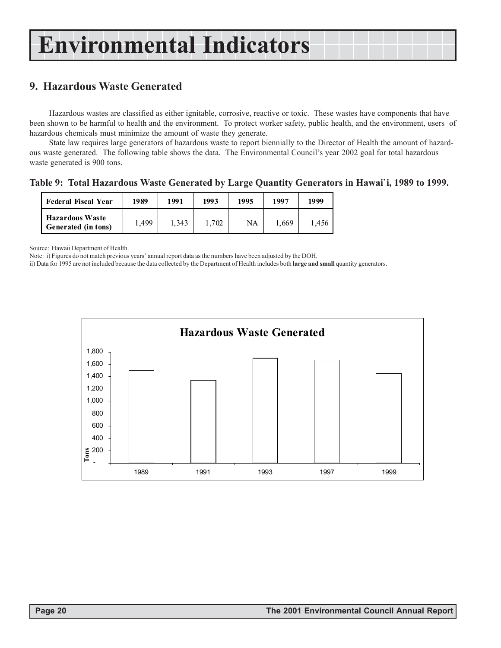# **9. Hazardous Waste Generated**

Hazardous wastes are classified as either ignitable, corrosive, reactive or toxic. These wastes have components that have been shown to be harmful to health and the environment. To protect worker safety, public health, and the environment, users of hazardous chemicals must minimize the amount of waste they generate.

State law requires large generators of hazardous waste to report biennially to the Director of Health the amount of hazardous waste generated. The following table shows the data. The Environmental Council's year 2002 goal for total hazardous waste generated is 900 tons.

**Table 9: Total Hazardous Waste Generated by Large Quantity Generators in Hawai`i, 1989 to 1999.**

| <b>Federal Fiscal Year</b>                           | 1989 | 1991  | 1993  | 1995 | 1997  | 1999  |
|------------------------------------------------------|------|-------|-------|------|-------|-------|
| <b>Hazardous Waste</b><br><b>Generated (in tons)</b> | .499 | 1.343 | 1.702 | NA   | 1,669 | 1.456 |

Source: Hawaii Department of Health.

Note: i) Figures do not match previous years' annual report data as the numbers have been adjusted by the DOH.

ii) Data for 1995 are not included because the data collected by the Department of Health includes both **large and small** quantity generators.

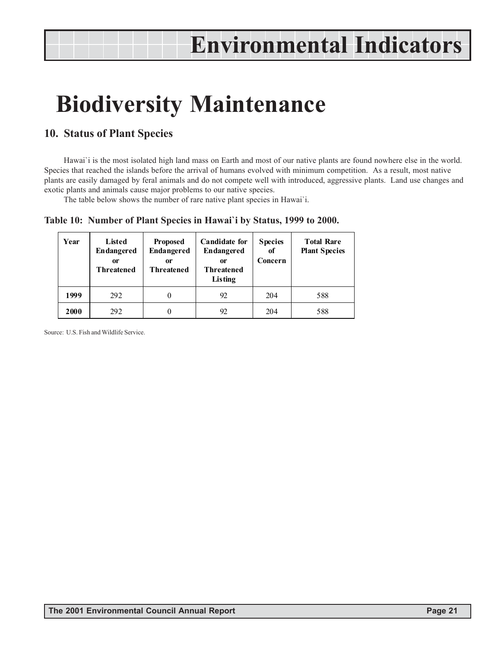# **Biodiversity Maintenance**

### **10. Status of Plant Species**

Hawai'i is the most isolated high land mass on Earth and most of our native plants are found nowhere else in the world. Species that reached the islands before the arrival of humans evolved with minimum competition. As a result, most native plants are easily damaged by feral animals and do not compete well with introduced, aggressive plants. Land use changes and exotic plants and animals cause major problems to our native species.

The table below shows the number of rare native plant species in Hawai`i.

### **Table 10: Number of Plant Species in Hawai`i by Status, 1999 to 2000.**

| Year | Listed<br><b>Endangered</b><br>or<br><b>Threatened</b> | <b>Proposed</b><br><b>Endangered</b><br>or<br><b>Threatened</b> | <b>Candidate for</b><br><b>Endangered</b><br>or<br><b>Threatened</b><br>Listing | <b>Species</b><br>of<br>Concern | <b>Total Rare</b><br><b>Plant Species</b> |
|------|--------------------------------------------------------|-----------------------------------------------------------------|---------------------------------------------------------------------------------|---------------------------------|-------------------------------------------|
| 1999 | 292                                                    | 0                                                               | 92                                                                              | 204                             | 588                                       |
| 2000 | 292                                                    |                                                                 | 92                                                                              | 204                             | 588                                       |

Source: U.S. Fish and Wildlife Service.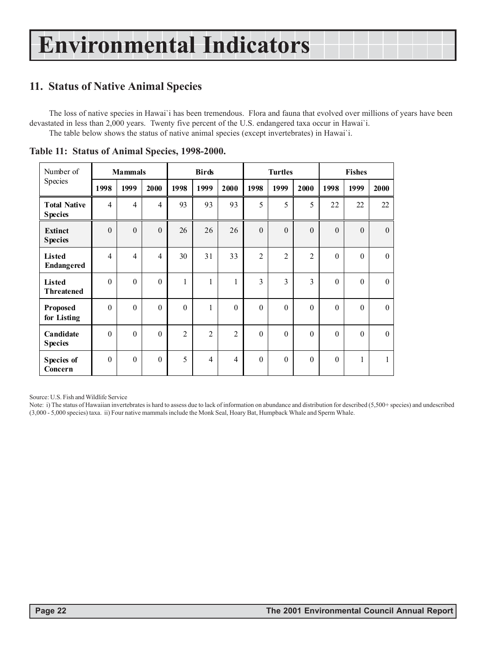# **11. Status of Native Animal Species**

The loss of native species in Hawai`i has been tremendous. Flora and fauna that evolved over millions of years have been devastated in less than 2,000 years. Twenty five percent of the U.S. endangered taxa occur in Hawai`i. The table below shows the status of native animal species (except invertebrates) in Hawai`i.

| Number of                             |          | <b>Mammals</b>   |                  |                | <b>Birds</b>   |                |                  | <b>Turtles</b>   |                  |          | <b>Fishes</b>    |                  |
|---------------------------------------|----------|------------------|------------------|----------------|----------------|----------------|------------------|------------------|------------------|----------|------------------|------------------|
| Species                               | 1998     | 1999             | 2000             | 1998           | 1999           | 2000           | 1998             | 1999             | 2000             | 1998     | 1999             | 2000             |
| <b>Total Native</b><br><b>Species</b> | 4        | $\overline{4}$   | 4                | 93             | 93             | 93             | 5                | 5                | 5                | 22       | 22               | 22               |
| <b>Extinct</b><br><b>Species</b>      | $\theta$ | $\mathbf{0}$     | $\theta$         | 26             | 26             | 26             | $\theta$         | $\boldsymbol{0}$ | $\theta$         | $\theta$ | $\boldsymbol{0}$ | $\mathbf{0}$     |
| Listed<br><b>Endangered</b>           | 4        | $\overline{4}$   | $\overline{4}$   | 30             | 31             | 33             | $\overline{c}$   | $\overline{2}$   | $\overline{2}$   | $\theta$ | $\theta$         | $\Omega$         |
| Listed<br><b>Threatened</b>           | $\theta$ | $\boldsymbol{0}$ | $\boldsymbol{0}$ | 1              | $\,1$          | 1              | 3                | $\overline{3}$   | 3                | $\theta$ | $\boldsymbol{0}$ | $\boldsymbol{0}$ |
| Proposed<br>for Listing               | $\theta$ | $\theta$         | $\theta$         | $\theta$       | $\mathbf{1}$   | $\theta$       | $\theta$         | $\theta$         | $\theta$         | $\theta$ | $\theta$         | $\Omega$         |
| Candidate<br><b>Species</b>           | $\theta$ | $\boldsymbol{0}$ | $\boldsymbol{0}$ | $\overline{2}$ | $\overline{2}$ | $\overline{2}$ | $\boldsymbol{0}$ | $\boldsymbol{0}$ | $\boldsymbol{0}$ | $\theta$ | $\boldsymbol{0}$ | $\theta$         |
| Species of<br>Concern                 | $\theta$ | $\theta$         | $\theta$         | 5              | 4              | $\overline{4}$ | $\theta$         | $\theta$         | $\theta$         | $\theta$ | $\mathbf{1}$     | 1                |

**Table 11: Status of Animal Species, 1998-2000.**

Source: U.S. Fish and Wildlife Service

Note: i) The status of Hawaiian invertebrates is hard to assess due to lack of information on abundance and distribution for described (5,500+ species) and undescribed (3,000 - 5,000 species) taxa. ii) Four native mammals include the Monk Seal, Hoary Bat, Humpback Whale and Sperm Whale.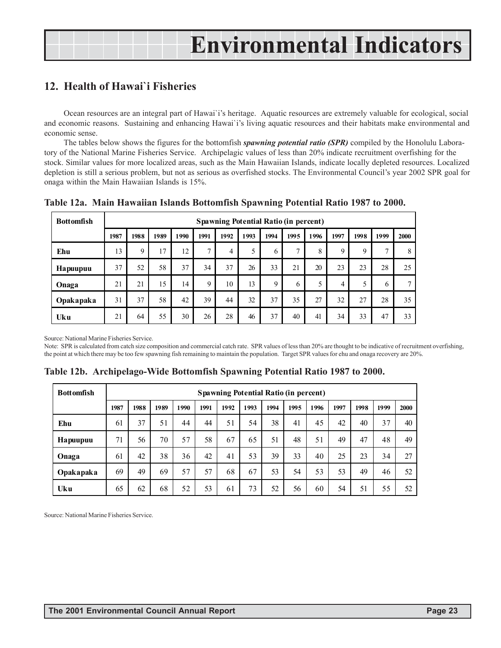### **12. Health of Hawai`i Fisheries**

Ocean resources are an integral part of Hawai`i's heritage. Aquatic resources are extremely valuable for ecological, social and economic reasons. Sustaining and enhancing Hawai`i's living aquatic resources and their habitats make environmental and economic sense.

The tables below shows the figures for the bottomfish *spawning potential ratio (SPR)* compiled by the Honolulu Laboratory of the National Marine Fisheries Service. Archipelagic values of less than 20% indicate recruitment overfishing for the stock. Similar values for more localized areas, such as the Main Hawaiian Islands, indicate locally depleted resources. Localized depletion is still a serious problem, but not as serious as overfished stocks. The Environmental Council's year 2002 SPR goal for onaga within the Main Hawaiian Islands is 15%.

| <b>Bottomfish</b> |      | <b>Spawning Potential Ratio (in percent)</b> |      |      |              |      |      |      |              |      |      |      |                |      |
|-------------------|------|----------------------------------------------|------|------|--------------|------|------|------|--------------|------|------|------|----------------|------|
|                   | 1987 | 1988                                         | 1989 | 1990 | 1991         | 1992 | 1993 | 1994 | 1995         | 1996 | 1997 | 1998 | 1999           | 2000 |
| Ehu               | 13   | Q                                            | 17   | 12   | $\mathbf{r}$ | 4    | 5    | 6    | $\mathbf{r}$ | 8    | 9    | 9    | $\overline{ }$ | 8    |
| Hapuupuu          | 37   | 52                                           | 58   | 37   | 34           | 37   | 26   | 33   | 21           | 20   | 23   | 23   | 28             | 25   |
| Onaga             | 21   | 21                                           | 15   | 14   | 9            | 10   | 13   | 9    | 6            | 5    | 4    | 5    | 6              | 7    |
| Opakapaka         | 31   | 37                                           | 58   | 42   | 39           | 44   | 32   | 37   | 35           | 27   | 32   | 27   | 28             | 35   |
| Uku               | 21   | 64                                           | 55   | 30   | 26           | 28   | 46   | 37   | 40           | 41   | 34   | 33   | 47             | 33   |

**Table 12a. Main Hawaiian Islands Bottomfish Spawning Potential Ratio 1987 to 2000.**

Source: National Marine Fisheries Service.

Note: SPR is calculated from catch size composition and commercial catch rate. SPR values of less than 20% are thought to be indicative of recruitment overfishing, the point at which there may be too few spawning fish remaining to maintain the population. Target SPR values for ehu and onaga recovery are 20%.

| <b>Bottomfish</b> |      | <b>Spawning Potential Ratio (in percent)</b> |      |      |      |      |      |      |      |      |      |      |      |      |
|-------------------|------|----------------------------------------------|------|------|------|------|------|------|------|------|------|------|------|------|
|                   | 1987 | 1988                                         | 1989 | 1990 | 1991 | 1992 | 1993 | 1994 | 1995 | 1996 | 1997 | 1998 | 1999 | 2000 |
| Ehu               | 61   | 37                                           | 51   | 44   | 44   | 51   | 54   | 38   | 41   | 45   | 42   | 40   | 37   | 40   |
| Hapuupuu          | 71   | 56                                           | 70   | 57   | 58   | 67   | 65   | 51   | 48   | 51   | 49   | 47   | 48   | 49   |
| Onaga             | 61   | 42                                           | 38   | 36   | 42   | 41   | 53   | 39   | 33   | 40   | 25   | 23   | 34   | 27   |
| Opakapaka         | 69   | 49                                           | 69   | 57   | 57   | 68   | 67   | 53   | 54   | 53   | 53   | 49   | 46   | 52   |
| Uku               | 65   | 62                                           | 68   | 52   | 53   | 61   | 73   | 52   | 56   | 60   | 54   | 51   | 55   | 52   |

**Table 12b. Archipelago-Wide Bottomfish Spawning Potential Ratio 1987 to 2000.**

Source: National Marine Fisheries Service.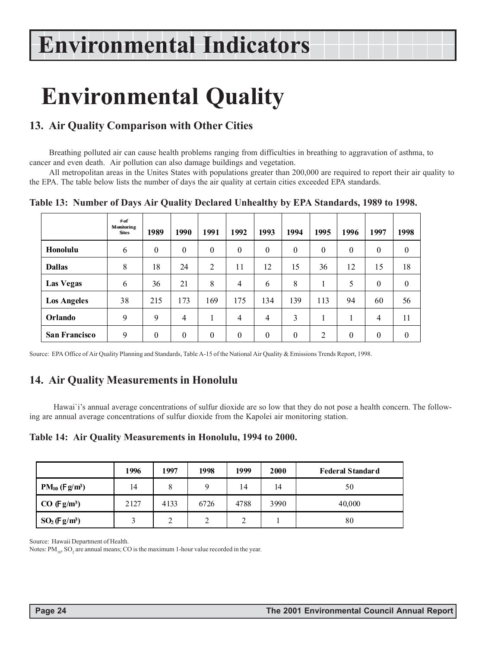# **Environmental Quality**

# **13. Air Quality Comparison with Other Cities**

Breathing polluted air can cause health problems ranging from difficulties in breathing to aggravation of asthma, to cancer and even death. Air pollution can also damage buildings and vegetation.

All metropolitan areas in the Unites States with populations greater than 200,000 are required to report their air quality to the EPA. The table below lists the number of days the air quality at certain cities exceeded EPA standards.

|                    | $#$ of<br>Monitoring<br><b>Sites</b> | 1989     | 1990     | 1991     | 1992 | 1993           | 1994     | 1995     | 1996     | 1997 | 1998     |
|--------------------|--------------------------------------|----------|----------|----------|------|----------------|----------|----------|----------|------|----------|
| Honolulu           | 6                                    | $\theta$ | $\theta$ | $\theta$ | 0    | $\overline{0}$ | $\theta$ | $\theta$ | $\theta$ | 0    | $\theta$ |
| <b>Dallas</b>      | 8                                    | 18       | 24       | 2        | 11   | 12             | 15       | 36       | 12       | 15   | 18       |
| <b>Las Vegas</b>   | 6                                    | 36       | 21       | 8        | 4    | 6              | 8        |          | 5        | 0    | $\theta$ |
| <b>Los Angeles</b> | 38                                   | 215      | 173      | 169      | 175  | 134            | 139      | 113      | 94       | 60   | 56       |

**Orlando** | 9 | 9 | 4 | 1 | 4 | 4 | 3 | 1 | 1 | 4 | 11

**San Francisco** 9 0 0 0 0 0 0 2 0 0 0

**Table 13: Number of Days Air Quality Declared Unhealthy by EPA Standards, 1989 to 1998.**

Source: EPA Office of Air Quality Planning and Standards, Table A-15 of the National Air Quality & Emissions Trends Report, 1998.

# **14. Air Quality Measurements in Honolulu**

 Hawai`i's annual average concentrations of sulfur dioxide are so low that they do not pose a health concern. The following are annual average concentrations of sulfur dioxide from the Kapolei air monitoring station.

**Table 14: Air Quality Measurements in Honolulu, 1994 to 2000.**

|                                 | 1996 | 1997 | 1998 | 1999 | 2000 | <b>Federal Standard</b> |
|---------------------------------|------|------|------|------|------|-------------------------|
| $PM_{10}$ (F g/m <sup>3</sup> ) | 14   | 8    |      | 14   | 14   | 50                      |
| CO ( $F g/m3$ )                 | 2127 | 4133 | 6726 | 4788 | 3990 | 40,000                  |
| $SO_2(Fg/m^3)$                  |      | ◠    |      | 2    |      | 80                      |

Source: Hawaii Department of Health.

Notes:  $PM_{10}$ ,  $SO_2$  are annual means; CO is the maximum 1-hour value recorded in the year.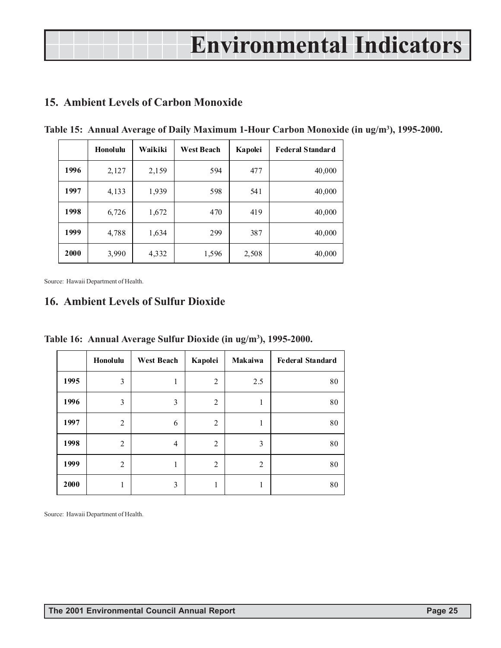### **15. Ambient Levels of Carbon Monoxide**

|      | Honolulu | Waikiki | <b>West Beach</b> | Kapolei | <b>Federal Standard</b> |
|------|----------|---------|-------------------|---------|-------------------------|
| 1996 | 2,127    | 2,159   | 594               | 477     | 40,000                  |
| 1997 | 4,133    | 1,939   | 598               | 541     | 40,000                  |
| 1998 | 6,726    | 1,672   | 470               | 419     | 40,000                  |
| 1999 | 4,788    | 1,634   | 299               | 387     | 40,000                  |
| 2000 | 3,990    | 4,332   | 1,596             | 2,508   | 40,000                  |

**Table 15: Annual Average of Daily Maximum 1-Hour Carbon Monoxide (in ug/m3 ), 1995-2000.**

Source: Hawaii Department of Health.

### **16. Ambient Levels of Sulfur Dioxide**

|  | Table 16: Annual Average Sulfur Dioxide (in ug/m <sup>3</sup> ), 1995-2000. |  |  |  |
|--|-----------------------------------------------------------------------------|--|--|--|
|--|-----------------------------------------------------------------------------|--|--|--|

|      | Honolulu       | <b>West Beach</b> | Kapolei        | <b>Makaiwa</b> | <b>Federal Standard</b> |
|------|----------------|-------------------|----------------|----------------|-------------------------|
| 1995 | 3              |                   | $\overline{2}$ | 2.5            | 80                      |
| 1996 | 3              | 3                 | $\overline{2}$ | 1              | 80                      |
| 1997 | 2              | 6                 | 2              | 1              | 80                      |
| 1998 | $\overline{2}$ | $\overline{4}$    | $\overline{2}$ | 3              | 80                      |
| 1999 | 2              | 1                 | $\overline{2}$ | 2              | 80                      |
| 2000 | 1              | 3                 | п              | 1              | 80                      |

Source: Hawaii Department of Health.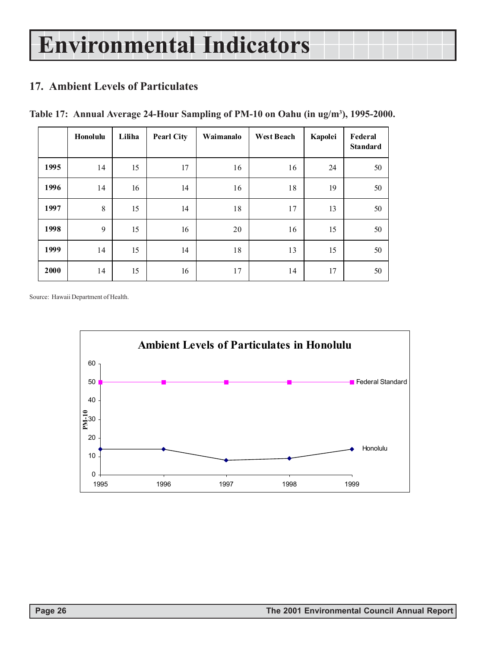# **17. Ambient Levels of Particulates**

| Table 17: Annual Average 24-Hour Sampling of PM-10 on Oahu (in ug/m <sup>3</sup> ), 1995-2000. |  |  |  |
|------------------------------------------------------------------------------------------------|--|--|--|
|                                                                                                |  |  |  |

|      | Honolulu | Liliha | <b>Pearl City</b> | Waimanalo | <b>West Beach</b> | Kapolei | Federal<br><b>Standard</b> |
|------|----------|--------|-------------------|-----------|-------------------|---------|----------------------------|
| 1995 | 14       | 15     | 17                | 16        | 16                | 24      | 50                         |
| 1996 | 14       | 16     | 14                | 16        | 18                | 19      | 50                         |
| 1997 | 8        | 15     | 14                | 18        | 17                | 13      | 50                         |
| 1998 | 9        | 15     | 16                | 20        | 16                | 15      | 50                         |
| 1999 | 14       | 15     | 14                | 18        | 13                | 15      | 50                         |
| 2000 | 14       | 15     | 16                | 17        | 14                | 17      | 50                         |

Source: Hawaii Department of Health.

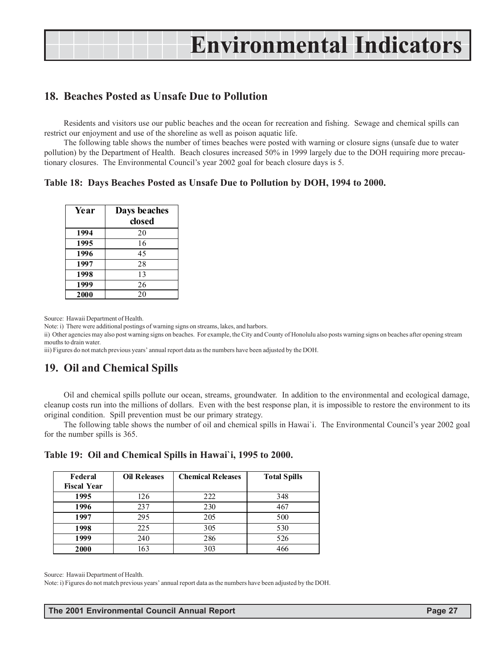### **18. Beaches Posted as Unsafe Due to Pollution**

Residents and visitors use our public beaches and the ocean for recreation and fishing. Sewage and chemical spills can restrict our enjoyment and use of the shoreline as well as poison aquatic life.

The following table shows the number of times beaches were posted with warning or closure signs (unsafe due to water pollution) by the Department of Health. Beach closures increased 50% in 1999 largely due to the DOH requiring more precautionary closures. The Environmental Council's year 2002 goal for beach closure days is 5.

**Table 18: Days Beaches Posted as Unsafe Due to Pollution by DOH, 1994 to 2000.**

| Year | Days beaches |
|------|--------------|
|      | closed       |
| 1994 | 20           |
| 1995 | 16           |
| 1996 | 45           |
| 1997 | 28           |
| 1998 | 13           |
| 1999 | 26           |
| 2000 | 20           |

Source: Hawaii Department of Health.

Note: i) There were additional postings of warning signs on streams, lakes, and harbors.

ii) Other agencies may also post warning signs on beaches. For example, the City and County of Honolulu also posts warning signs on beaches after opening stream mouths to drain water.

iii) Figures do not match previous years' annual report data as the numbers have been adjusted by the DOH.

# **19. Oil and Chemical Spills**

Oil and chemical spills pollute our ocean, streams, groundwater. In addition to the environmental and ecological damage, cleanup costs run into the millions of dollars. Even with the best response plan, it is impossible to restore the environment to its original condition. Spill prevention must be our primary strategy.

The following table shows the number of oil and chemical spills in Hawai`i. The Environmental Council's year 2002 goal for the number spills is 365.

| Table 19: Oil and Chemical Spills in Hawai'i, 1995 to 2000. |  |  |  |  |  |  |
|-------------------------------------------------------------|--|--|--|--|--|--|
|-------------------------------------------------------------|--|--|--|--|--|--|

| Federal<br><b>Fiscal Year</b> | <b>Oil Releases</b> | <b>Chemical Releases</b> | <b>Total Spills</b> |
|-------------------------------|---------------------|--------------------------|---------------------|
| 1995                          | 126                 | 222                      | 348                 |
| 1996                          | 237                 | 230                      | 467                 |
| 1997                          | 295                 | 205                      | 500                 |
| 1998                          | 225                 | 305                      | 530                 |
| 1999                          | 240                 | 286                      | 526                 |
| 2000                          | 163                 | 303                      | 466                 |

Source: Hawaii Department of Health.

Note: i) Figures do not match previous years' annual report data as the numbers have been adjusted by the DOH.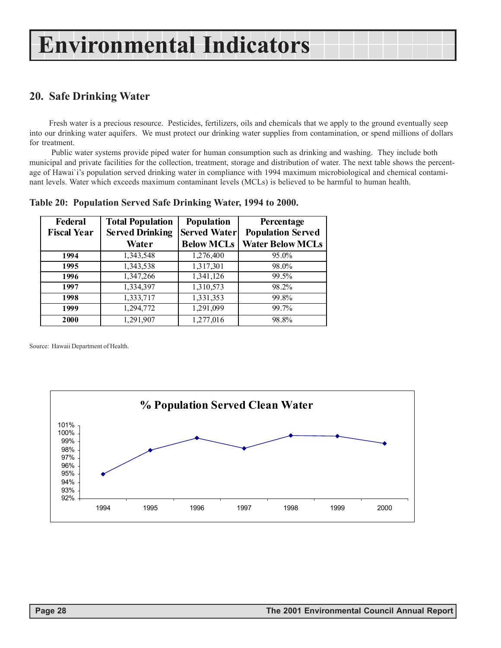# **20. Safe Drinking Water**

Fresh water is a precious resource. Pesticides, fertilizers, oils and chemicals that we apply to the ground eventually seep into our drinking water aquifers. We must protect our drinking water supplies from contamination, or spend millions of dollars for treatment.

 Public water systems provide piped water for human consumption such as drinking and washing. They include both municipal and private facilities for the collection, treatment, storage and distribution of water. The next table shows the percentage of Hawai`i's population served drinking water in compliance with 1994 maximum microbiological and chemical contaminant levels. Water which exceeds maximum contaminant levels (MCLs) is believed to be harmful to human health.

**Table 20: Population Served Safe Drinking Water, 1994 to 2000.**

| Federal<br><b>Fiscal Year</b> | <b>Total Population</b><br><b>Served Drinking</b> | <b>Population</b><br><b>Served Water</b> | Percentage<br><b>Population Served</b> |
|-------------------------------|---------------------------------------------------|------------------------------------------|----------------------------------------|
|                               | Water                                             | <b>Below MCLs</b>                        | <b>Water Below MCLs</b>                |
| 1994                          | 1,343,548                                         | 1,276,400                                | 95.0%                                  |
| 1995                          | 1,343,538                                         | 1,317,301                                | 98.0%                                  |
| 1996                          | 1,347,266                                         | 1,341,126                                | 99.5%                                  |
| 1997                          | 1,334,397                                         | 1,310,573                                | 98.2%                                  |
| 1998                          | 1,333,717                                         | 1,331,353                                | 99.8%                                  |
| 1999                          | 1,294,772                                         | 1,291,099                                | 99.7%                                  |
| 2000                          | 1,291,907                                         | 1,277,016                                | 98.8%                                  |

Source: Hawaii Department of Health.

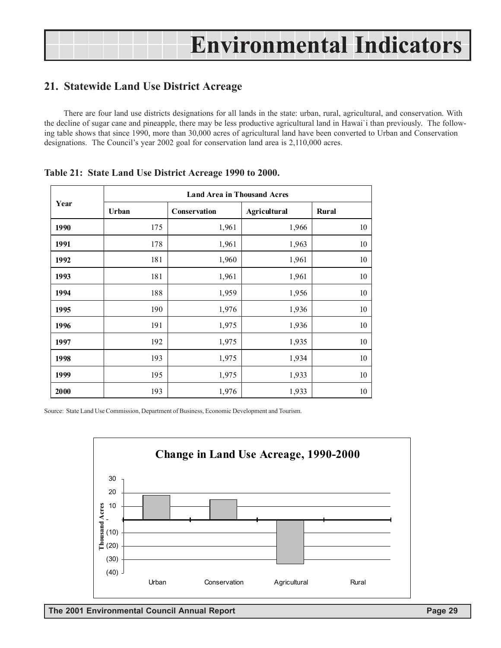# **21. Statewide Land Use District Acreage**

There are four land use districts designations for all lands in the state: urban, rural, agricultural, and conservation. With the decline of sugar cane and pineapple, there may be less productive agricultural land in Hawai`i than previously. The following table shows that since 1990, more than 30,000 acres of agricultural land have been converted to Urban and Conservation designations. The Council's year 2002 goal for conservation land area is 2,110,000 acres.

|      |       | <b>Land Area in Thousand Acres</b> |                     |              |  |
|------|-------|------------------------------------|---------------------|--------------|--|
| Year | Urban | Conservation                       | <b>Agricultural</b> | <b>Rural</b> |  |
| 1990 | 175   | 1,961                              | 1,966               | 10           |  |
| 1991 | 178   | 1,961                              | 1,963               | 10           |  |
| 1992 | 181   | 1,960                              | 1,961               | 10           |  |
| 1993 | 181   | 1,961                              | 1,961               | 10           |  |
| 1994 | 188   | 1,959                              | 1,956               | 10           |  |
| 1995 | 190   | 1,976                              | 1,936               | 10           |  |
| 1996 | 191   | 1,975                              | 1,936               | 10           |  |
| 1997 | 192   | 1,975                              | 1,935               | 10           |  |
| 1998 | 193   | 1,975                              | 1,934               | 10           |  |
| 1999 | 195   | 1,975                              | 1,933               | 10           |  |
| 2000 | 193   | 1,976                              | 1,933               | 10           |  |

|  |  | Table 21: State Land Use District Acreage 1990 to 2000. |  |
|--|--|---------------------------------------------------------|--|
|--|--|---------------------------------------------------------|--|

Source: State Land Use Commission, Department of Business, Economic Development and Tourism.

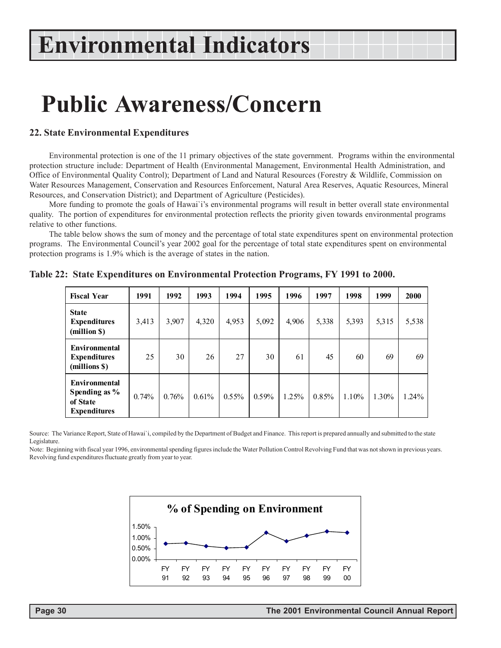# **Public Awareness/Concern**

### **22. State Environmental Expenditures**

Environmental protection is one of the 11 primary objectives of the state government. Programs within the environmental protection structure include: Department of Health (Environmental Management, Environmental Health Administration, and Office of Environmental Quality Control); Department of Land and Natural Resources (Forestry & Wildlife, Commission on Water Resources Management, Conservation and Resources Enforcement, Natural Area Reserves, Aquatic Resources, Mineral Resources, and Conservation District); and Department of Agriculture (Pesticides).

More funding to promote the goals of Hawai`i's environmental programs will result in better overall state environmental quality. The portion of expenditures for environmental protection reflects the priority given towards environmental programs relative to other functions.

The table below shows the sum of money and the percentage of total state expenditures spent on environmental protection programs. The Environmental Council's year 2002 goal for the percentage of total state expenditures spent on environmental protection programs is 1.9% which is the average of states in the nation.

| <b>Fiscal Year</b>                                                       | 1991  | 1992  | 1993  | 1994  | 1995  | 1996  | 1997  | 1998  | 1999  | 2000  |
|--------------------------------------------------------------------------|-------|-------|-------|-------|-------|-------|-------|-------|-------|-------|
| <b>State</b><br><b>Expenditures</b><br>(million \$)                      | 3,413 | 3,907 | 4,320 | 4,953 | 5,092 | 4,906 | 5,338 | 5,393 | 5,315 | 5,538 |
| <b>Environmental</b><br><b>Expenditures</b><br>(millions \$)             | 25    | 30    | 26    | 27    | 30    | 61    | 45    | 60    | 69    | 69    |
| <b>Environmental</b><br>Spending as %<br>of State<br><b>Expenditures</b> | 0.74% | 0.76% | 0.61% | 0.55% | 0.59% | 1.25% | 0.85% | 1.10% | 1.30% | 1.24% |

**Table 22: State Expenditures on Environmental Protection Programs, FY 1991 to 2000.**

Source: The Variance Report, State of Hawai`i, compiled by the Department of Budget and Finance. This report is prepared annually and submitted to the state Legislature.

Note: Beginning with fiscal year 1996, environmental spending figures include the Water Pollution Control Revolving Fund that was not shown in previous years. Revolving fund expenditures fluctuate greatly from year to year.

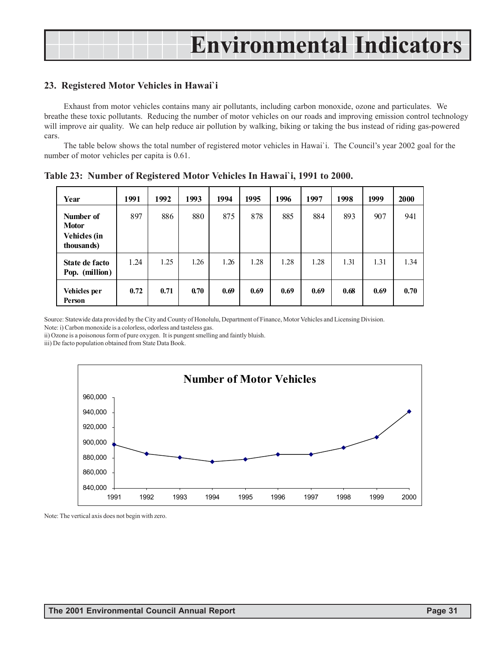### **23. Registered Motor Vehicles in Hawai`i**

Exhaust from motor vehicles contains many air pollutants, including carbon monoxide, ozone and particulates. We breathe these toxic pollutants. Reducing the number of motor vehicles on our roads and improving emission control technology will improve air quality. We can help reduce air pollution by walking, biking or taking the bus instead of riding gas-powered cars.

The table below shows the total number of registered motor vehicles in Hawai`i. The Council's year 2002 goal for the number of motor vehicles per capita is 0.61.

| Year                                                    | 1991 | 1992 | 1993 | 1994 | 1995 | 1996 | 1997 | 1998 | 1999 | <b>2000</b> |
|---------------------------------------------------------|------|------|------|------|------|------|------|------|------|-------------|
| Number of<br><b>Motor</b><br>Vehicles (in<br>thousands) | 897  | 886  | 880  | 875  | 878  | 885  | 884  | 893  | 907  | 941         |
| State de facto<br>Pop. (million)                        | 1.24 | 1.25 | 1.26 | 1.26 | 1.28 | 1.28 | 1.28 | 1.31 | 1.31 | 1.34        |
| Vehicles per<br>Person                                  | 0.72 | 0.71 | 0.70 | 0.69 | 0.69 | 0.69 | 0.69 | 0.68 | 0.69 | 0.70        |

**Table 23: Number of Registered Motor Vehicles In Hawai`i, 1991 to 2000.**

Source: Statewide data provided by the City and County of Honolulu, Department of Finance, Motor Vehicles and Licensing Division.

Note: i) Carbon monoxide is a colorless, odorless and tasteless gas.

ii) Ozone is a poisonous form of pure oxygen. It is pungent smelling and faintly bluish.

iii) De facto population obtained from State Data Book.



Note: The vertical axis does not begin with zero.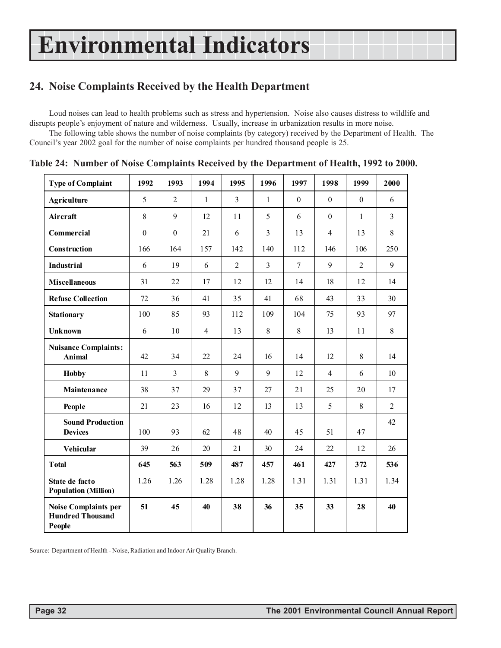# **24. Noise Complaints Received by the Health Department**

Loud noises can lead to health problems such as stress and hypertension. Noise also causes distress to wildlife and disrupts people's enjoyment of nature and wilderness. Usually, increase in urbanization results in more noise.

The following table shows the number of noise complaints (by category) received by the Department of Health. The Council's year 2002 goal for the number of noise complaints per hundred thousand people is 25.

| <b>Type of Complaint</b>                                         | 1992             | 1993             | 1994           | 1995           | 1996                    | 1997     | 1998           | 1999             | 2000           |
|------------------------------------------------------------------|------------------|------------------|----------------|----------------|-------------------------|----------|----------------|------------------|----------------|
| <b>Agriculture</b>                                               | 5                | $\overline{2}$   | $\mathbf{1}$   | $\overline{3}$ | 1                       | $\theta$ | $\theta$       | $\boldsymbol{0}$ | 6              |
| Aircraft                                                         | 8                | 9                | 12             | 11             | 5                       | 6        | $\mathbf{0}$   | $\mathbf{1}$     | 3              |
| Commercial                                                       | $\boldsymbol{0}$ | $\boldsymbol{0}$ | 21             | 6              | $\overline{\mathbf{3}}$ | 13       | $\overline{4}$ | 13               | 8              |
| <b>Construction</b>                                              | 166              | 164              | 157            | 142            | 140                     | 112      | 146            | 106              | 250            |
| Industrial                                                       | 6                | 19               | 6              | $\overline{2}$ | $\overline{3}$          | $\tau$   | 9              | $\overline{2}$   | 9              |
| <b>Miscellaneous</b>                                             | 31               | 22               | 17             | 12             | 12                      | 14       | 18             | 12               | 14             |
| <b>Refuse Collection</b>                                         | 72               | 36               | 41             | 35             | 41                      | 68       | 43             | 33               | 30             |
| <b>Stationary</b>                                                | 100              | 85               | 93             | 112            | 109                     | 104      | 75             | 93               | 97             |
| <b>Unknown</b>                                                   | 6                | 10               | $\overline{4}$ | 13             | 8                       | 8        | 13             | 11               | 8              |
| <b>Nuisance Complaints:</b><br>Animal                            | 42               | 34               | 22             | 24             | 16                      | 14       | 12             | 8                | 14             |
| <b>Hobby</b>                                                     | 11               | $\overline{3}$   | 8              | 9              | 9                       | 12       | $\overline{4}$ | 6                | $10\,$         |
| Maintenance                                                      | 38               | 37               | 29             | 37             | 27                      | 21       | 25             | 20               | 17             |
| People                                                           | 21               | 23               | 16             | 12             | 13                      | 13       | 5              | 8                | $\overline{2}$ |
| <b>Sound Production</b><br><b>Devices</b>                        | 100              | 93               | 62             | 48             | 40                      | 45       | 51             | 47               | 42             |
| Vehicular                                                        | 39               | 26               | 20             | 21             | 30                      | 24       | 22             | 12               | 26             |
| <b>Total</b>                                                     | 645              | 563              | 509            | 487            | 457                     | 461      | 427            | 372              | 536            |
| State de facto<br><b>Population (Million)</b>                    | 1.26             | 1.26             | 1.28           | 1.28           | 1.28                    | 1.31     | 1.31           | 1.31             | 1.34           |
| <b>Noise Complaints per</b><br><b>Hundred Thousand</b><br>People | 51               | 45               | 40             | 38             | 36                      | 35       | 33             | 28               | 40             |

**Table 24: Number of Noise Complaints Received by the Department of Health, 1992 to 2000.**

Source: Department of Health - Noise, Radiation and Indoor Air Quality Branch.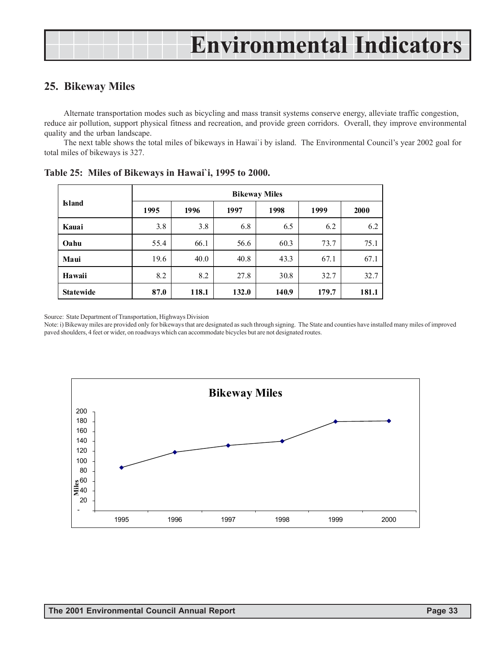### **25. Bikeway Miles**

Alternate transportation modes such as bicycling and mass transit systems conserve energy, alleviate traffic congestion, reduce air pollution, support physical fitness and recreation, and provide green corridors. Overall, they improve environmental quality and the urban landscape.

The next table shows the total miles of bikeways in Hawai`i by island. The Environmental Council's year 2002 goal for total miles of bikeways is 327.

|                  | <b>Bikeway Miles</b> |       |       |       |       |       |  |  |  |  |  |
|------------------|----------------------|-------|-------|-------|-------|-------|--|--|--|--|--|
| <b>Island</b>    | 1995                 | 1996  | 1997  | 1998  | 1999  | 2000  |  |  |  |  |  |
| Kauai            | 3.8                  | 3.8   | 6.8   | 6.5   | 6.2   | 6.2   |  |  |  |  |  |
| Oahu             | 55.4                 | 66.1  | 56.6  | 60.3  | 73.7  | 75.1  |  |  |  |  |  |
| Maui             | 19.6                 | 40.0  | 40.8  | 43.3  | 67.1  | 67.1  |  |  |  |  |  |
| Hawaii           | 8.2                  | 8.2   | 27.8  | 30.8  | 32.7  | 32.7  |  |  |  |  |  |
| <b>Statewide</b> | 87.0                 | 118.1 | 132.0 | 140.9 | 179.7 | 181.1 |  |  |  |  |  |

**Table 25: Miles of Bikeways in Hawai`i, 1995 to 2000.**

Source: State Department of Transportation, Highways Division

Note: i) Bikeway miles are provided only for bikeways that are designated as such through signing. The State and counties have installed many miles of improved paved shoulders, 4 feet or wider, on roadways which can accommodate bicycles but are not designated routes.

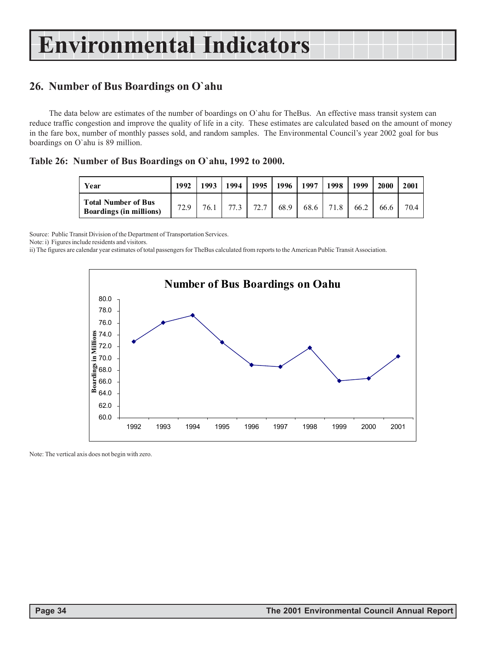# **26. Number of Bus Boardings on O`ahu**

The data below are estimates of the number of boardings on O`ahu for TheBus. An effective mass transit system can reduce traffic congestion and improve the quality of life in a city. These estimates are calculated based on the amount of money in the fare box, number of monthly passes sold, and random samples. The Environmental Council's year 2002 goal for bus boardings on O`ahu is 89 million.

**Table 26: Number of Bus Boardings on O`ahu, 1992 to 2000.**

| Year                                                         | 1992 | 1993 | 1994 | 1995 | 1996 | 1997 | 1998 | 1999 | 2000 | 2001 |
|--------------------------------------------------------------|------|------|------|------|------|------|------|------|------|------|
| <b>Total Number of Bus</b><br><b>Boardings (in millions)</b> | 72.9 | 76.1 | 77.3 | 72.7 | 68.9 | 68.6 | 71.8 | 66.2 | 66.6 | 70.4 |

Source: Public Transit Division of the Department of Transportation Services.

Note: i) Figures include residents and visitors.

ii) The figures are calendar year estimates of total passengers for TheBus calculated from reports to the American Public Transit Association.



Note: The vertical axis does not begin with zero.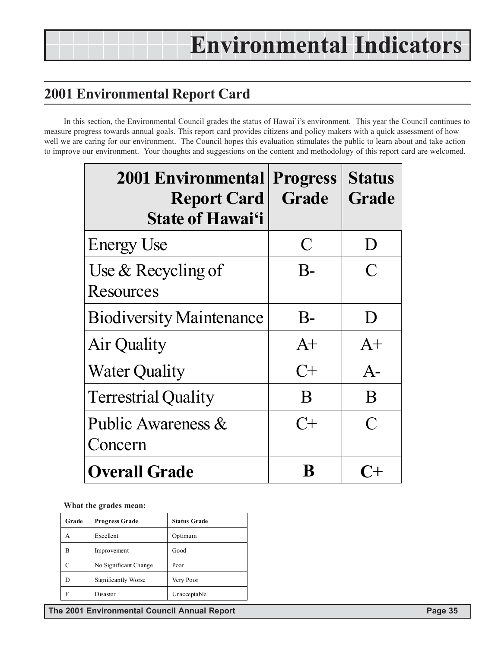# **2001 Environmental Report Card**

In this section, the Environmental Council grades the status of Hawai`i's environment. This year the Council continues to measure progress towards annual goals. This report card provides citizens and policy makers with a quick assessment of how well we are caring for our environment. The Council hopes this evaluation stimulates the public to learn about and take action to improve our environment. Your thoughts and suggestions on the content and methodology of this report card are welcomed.

| <b>2001 Environmental Progress</b><br><b>Report Card</b><br><b>State of Hawai'i</b> | <b>Grade</b> | <b>Status</b><br><b>Grade</b> |
|-------------------------------------------------------------------------------------|--------------|-------------------------------|
| <b>Energy Use</b>                                                                   | $\mathbf C$  | $\mathsf{D}$                  |
| Use & Recycling of<br>Resources                                                     | $B-$         | $\overline{C}$                |
| <b>Biodiversity Maintenance</b>                                                     | $B-$         | D                             |
| Air Quality                                                                         | $A+$         | $A+$                          |
| <b>Water Quality</b>                                                                | $C+$         | $A-$                          |
| <b>Terrestrial Quality</b>                                                          | B            | B                             |
| Public Awareness &<br>Concern                                                       | $C +$        | $\overline{\mathsf{C}}$       |
| <b>Overall Grade</b>                                                                | K            |                               |

### **What the grades mean:**

| Grade | <b>Progress Grade</b> | <b>Status Grade</b> |
|-------|-----------------------|---------------------|
| А     | Excellent             | Optimum             |
| В     | Improvement           | Good                |
|       | No Significant Change | Poor                |
| D     | Significantly Worse   | Very Poor           |
| F     | Disaster              | Unacceptable        |

**The 2001 Environmental Council Annual Report Page 35**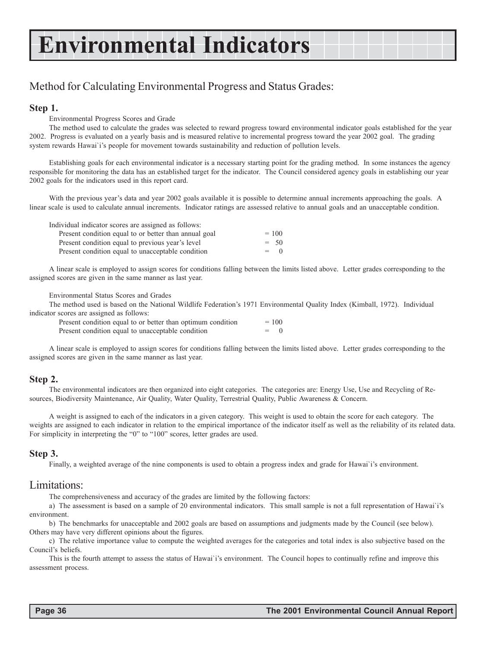# Method for Calculating Environmental Progress and Status Grades:

### **Step 1.**

Environmental Progress Scores and Grade

The method used to calculate the grades was selected to reward progress toward environmental indicator goals established for the year 2002. Progress is evaluated on a yearly basis and is measured relative to incremental progress toward the year 2002 goal. The grading system rewards Hawai`i's people for movement towards sustainability and reduction of pollution levels.

Establishing goals for each environmental indicator is a necessary starting point for the grading method. In some instances the agency responsible for monitoring the data has an established target for the indicator. The Council considered agency goals in establishing our year 2002 goals for the indicators used in this report card.

With the previous year's data and year 2002 goals available it is possible to determine annual increments approaching the goals. A linear scale is used to calculate annual increments. Indicator ratings are assessed relative to annual goals and an unacceptable condition.

| $= 100$ |
|---------|
| $= 50$  |
| $=$ 0   |
|         |

A linear scale is employed to assign scores for conditions falling between the limits listed above. Letter grades corresponding to the assigned scores are given in the same manner as last year.

Environmental Status Scores and Grades

The method used is based on the National Wildlife Federation's 1971 Environmental Quality Index (Kimball, 1972). Individual indicator scores are assigned as follows:

| Present condition equal to or better than optimum condition | $= 100$ |  |
|-------------------------------------------------------------|---------|--|
| Present condition equal to unacceptable condition           |         |  |

A linear scale is employed to assign scores for conditions falling between the limits listed above. Letter grades corresponding to the assigned scores are given in the same manner as last year.

### **Step 2.**

The environmental indicators are then organized into eight categories. The categories are: Energy Use, Use and Recycling of Resources, Biodiversity Maintenance, Air Quality, Water Quality, Terrestrial Quality, Public Awareness & Concern.

A weight is assigned to each of the indicators in a given category. This weight is used to obtain the score for each category. The weights are assigned to each indicator in relation to the empirical importance of the indicator itself as well as the reliability of its related data. For simplicity in interpreting the "0" to "100" scores, letter grades are used.

### **Step 3.**

Finally, a weighted average of the nine components is used to obtain a progress index and grade for Hawai`i's environment.

### Limitations:

The comprehensiveness and accuracy of the grades are limited by the following factors:

a) The assessment is based on a sample of 20 environmental indicators. This small sample is not a full representation of Hawai`i's environment.

b) The benchmarks for unacceptable and 2002 goals are based on assumptions and judgments made by the Council (see below). Others may have very different opinions about the figures.

c) The relative importance value to compute the weighted averages for the categories and total index is also subjective based on the Council's beliefs.

This is the fourth attempt to assess the status of Hawai`i's environment. The Council hopes to continually refine and improve this assessment process.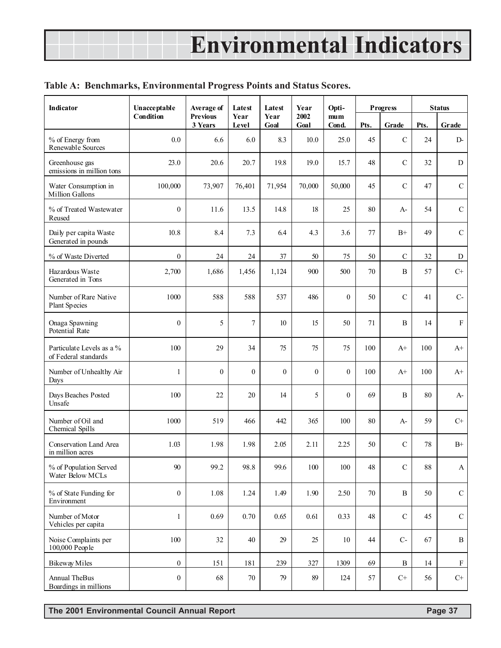### **Table A: Benchmarks, Environmental Progress Points and Status Scores.**

| <b>Indicator</b>                                  | <b>Unacceptable</b> | Average of                 | Latest        | Latest       | Year           | Opti-           |        | Progress       |        | <b>Status</b>             |
|---------------------------------------------------|---------------------|----------------------------|---------------|--------------|----------------|-----------------|--------|----------------|--------|---------------------------|
|                                                   | Condition           | <b>Previous</b><br>3 Years | Year<br>Level | Year<br>Goal | 2002<br>Goal   | $mu$ m<br>Cond. | Pts.   | Grade          | Pts.   | Grade                     |
| % of Energy from<br>Renewable Sources             | 0.0                 | 6.6                        | 6.0           | 8.3          | 10.0           | 25.0            | 45     | $\mathsf{C}$   | 24     | $D-$                      |
| Greenhouse gas<br>emissions in million tons       | 23.0                | 20.6                       | 20.7          | 19.8         | 19.0           | 15.7            | 48     | $\mathcal{C}$  | 32     | D                         |
| Water Consumption in<br>Million Gallons           | 100,000             | 73,907                     | 76,401        | 71,954       | 70,000         | 50,000          | 45     | $\mathbf C$    | 47     | $\mathsf C$               |
| % of Treated Wastewater<br>Reused                 | $\theta$            | 11.6                       | 13.5          | 14.8         | 18             | 25              | 80     | $A-$           | 54     | $\mathsf C$               |
| Daily per capita Waste<br>Generated in pounds     | 10.8                | 8.4                        | 7.3           | 6.4          | 4.3            | 3.6             | 77     | $B+$           | 49     | $\mathbf C$               |
| % of Waste Diverted                               | $\overline{0}$      | 24                         | 24            | 37           | 50             | 75              | 50     | $\mathsf{C}$   | 32     | D                         |
| Hazardous Waste<br>Generated in Tons              | 2,700               | 1,686                      | 1,456         | 1,124        | 900            | 500             | 70     | B              | 57     | $\mathrm{C}^+$            |
| Number of Rare Native<br>Plant Species            | 1000                | 588                        | 588           | 537          | 486            | $\theta$        | 50     | ${\bf C}$      | 41     | $C-$                      |
| Onaga Spawning<br>Potential Rate                  | $\theta$            | 5                          | $\tau$        | 10           | 15             | 50              | 71     | B              | 14     | $\mathbf F$               |
| Particulate Levels as a %<br>of Federal standards | 100                 | 29                         | 34            | 75           | 75             | 75              | 100    | $A+$           | 100    | $A+$                      |
| Number of Unhealthy Air<br>Days                   | 1                   | $\theta$                   | $\mathbf{0}$  | $\mathbf{0}$ | $\overline{0}$ | $\mathbf{0}$    | 100    | $A+$           | 100    | $A+$                      |
| Days Beaches Posted<br>Unsafe                     | 100                 | 22                         | 20            | 14           | 5              | $\theta$        | 69     | B              | 80     | $A-$                      |
| Number of Oil and<br>Chemical Spills              | 1000                | 519                        | 466           | 442          | 365            | 100             | 80     | A-             | 59     | $C+$                      |
| Conservation Land Area<br>in million acres        | 1.03                | 1.98                       | 1.98          | 2.05         | 2.11           | 2.25            | 50     | $\mathcal{C}$  | 78     | $B+$                      |
| % of Population Served<br>Water Below MCLs        | 90                  | 99.2                       | 98.8          | 99.6         | 100            | 100             | $48\,$ | $\mathsf C$    | $88\,$ | $\mathbf{A}$              |
| % of State Funding for<br>Environment             | $\boldsymbol{0}$    | 1.08                       | 1.24          | 1.49         | 1.90           | 2.50            | $70\,$ | $\, {\bf B}$   | 50     | $\mathsf{C}$              |
| Number of Motor<br>Vehicles per capita            | $\mathbf{1}$        | 0.69                       | 0.70          | 0.65         | 0.61           | 0.33            | 48     | $\mathbf C$    | 45     | ${\bf C}$                 |
| Noise Complaints per<br>100,000 People            | 100                 | 32                         | 40            | 29           | $25\,$         | 10              | 44     | $C-$           | 67     | $\, {\bf B}$              |
| <b>Bikeway Miles</b>                              | $\boldsymbol{0}$    | 151                        | 181           | 239          | 327            | 1309            | 69     | B              | 14     | $\boldsymbol{\mathrm{F}}$ |
| Annual TheBus<br>Boardings in millions            | $\mathbf{0}$        | 68                         | 70            | 79           | 89             | 124             | 57     | $\mathrm{C}^+$ | 56     | $\mathrm{C}^+$            |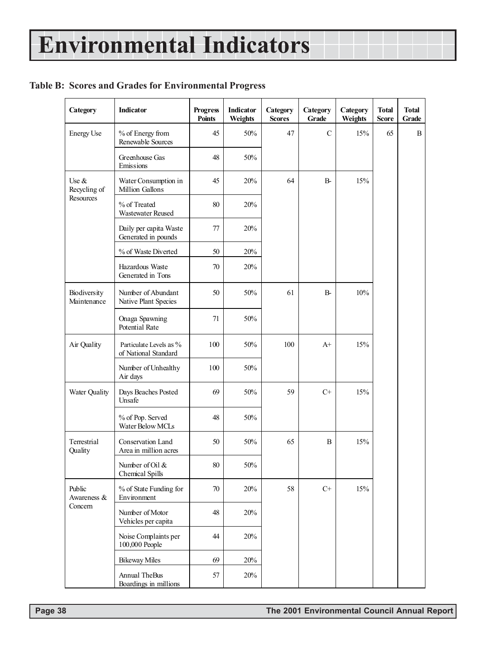### **Table B: Scores and Grades for Environmental Progress**

| Category                           | Indicator                                       | <b>Progress</b><br><b>Points</b> | <b>Indicator</b><br>Weights | Category<br><b>Scores</b> | Category<br>Grade | Category<br><b>Weights</b> | <b>Total</b><br><b>Score</b> | <b>Total</b><br>Grade |
|------------------------------------|-------------------------------------------------|----------------------------------|-----------------------------|---------------------------|-------------------|----------------------------|------------------------------|-----------------------|
| <b>Energy Use</b>                  | % of Energy from<br>Renewable Sources           | 45                               | 50%                         | 47                        | $\mathcal{C}$     | 15%                        | 65                           | B                     |
|                                    | Greenhouse Gas<br>Emissions                     | 48                               | 50%                         |                           |                   |                            |                              |                       |
| Use &<br>Recycling of<br>Resources | Water Consumption in<br>Million Gallons         | 45                               | 20%                         | 64                        | $B -$             | 15%                        |                              |                       |
|                                    | % of Treated<br>Wastewater Reused               | 80                               | 20%                         |                           |                   |                            |                              |                       |
|                                    | Daily per capita Waste<br>Generated in pounds   | 77                               | 20%                         |                           |                   |                            |                              |                       |
|                                    | % of Waste Diverted                             | 50                               | 20%                         |                           |                   |                            |                              |                       |
|                                    | Hazardous Waste<br>Generated in Tons            | 70                               | 20%                         |                           |                   |                            |                              |                       |
| Biodiversity<br>Maintenance        | Number of Abundant<br>Native Plant Species      | 50                               | 50%                         | 61                        | $B -$             | 10%                        |                              |                       |
|                                    | Onaga Spawning<br><b>Potential Rate</b>         | 71                               | 50%                         |                           |                   |                            |                              |                       |
| Air Quality                        | Particulate Levels as %<br>of National Standard | 100                              | 50%                         | 100                       | $A+$              | 15%                        |                              |                       |
|                                    | Number of Unhealthy<br>Air days                 | 100                              | 50%                         |                           |                   |                            |                              |                       |
| Water Quality                      | Days Beaches Posted<br>Unsafe                   | 69                               | 50%                         | 59                        | $C+$              | 15%                        |                              |                       |
|                                    | % of Pop. Served<br>Water Below MCLs            | 48                               | 50%                         |                           |                   |                            |                              |                       |
| Terrestrial<br>Quality             | Conservation Land<br>Area in million acres      | 50                               | 50%                         | 65<br>B                   |                   | 15%                        |                              |                       |
|                                    | Number of Oil $&$<br>Chemical Spills            | 80                               | 50%                         |                           |                   |                            |                              |                       |
| Public<br>Awareness &<br>Concern   | % of State Funding for<br>Environment           | 70                               | 20%                         | 58                        | $C+$              | 15%                        |                              |                       |
|                                    | Number of Motor<br>Vehicles per capita          | 48                               | 20%                         |                           |                   |                            |                              |                       |
|                                    | Noise Complaints per<br>100,000 People          | 44                               | 20%                         |                           |                   |                            |                              |                       |
|                                    | <b>Bikeway Miles</b>                            | 69                               | 20%                         |                           |                   |                            |                              |                       |
|                                    | Annual TheBus<br>Boardings in millions          | 57                               | 20%                         |                           |                   |                            |                              |                       |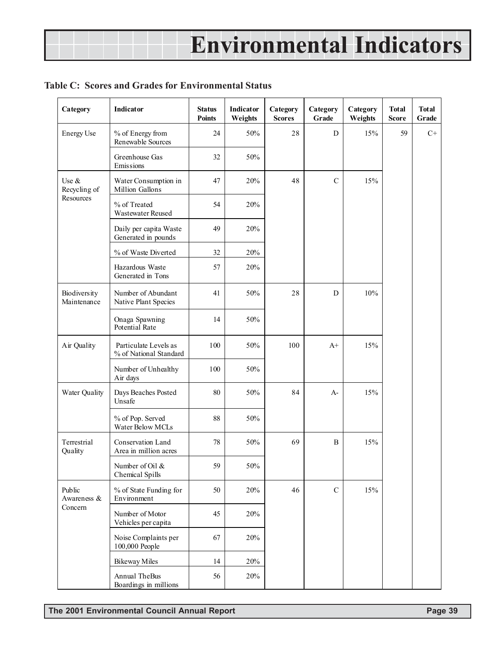### **Table C: Scores and Grades for Environmental Status**

| Category                              | Indicator                                       | <b>Status</b><br><b>Points</b> | Indicator<br>Weights | Category<br><b>Scores</b> | Category<br>Grade | Category<br>Weights | <b>Total</b><br><b>Score</b> | <b>Total</b><br>Grade |
|---------------------------------------|-------------------------------------------------|--------------------------------|----------------------|---------------------------|-------------------|---------------------|------------------------------|-----------------------|
| <b>Energy Use</b>                     | % of Energy from<br>Renewable Sources           | 24                             | 50%                  | 28                        | D                 | 15%                 | 59                           | $C+$                  |
|                                       | Greenhouse Gas<br>Emissions                     | 32                             | $50\%$               |                           |                   |                     |                              |                       |
| Use $\&$<br>Recycling of<br>Resources | Water Consumption in<br>Million Gallons         | 47                             | 20%                  | 48                        | $\mathcal{C}$     | 15%                 |                              |                       |
|                                       | % of Treated<br>Wastewater Reused               | 54                             | 20%                  |                           |                   |                     |                              |                       |
|                                       | Daily per capita Waste<br>Generated in pounds   | 49                             | 20%                  |                           |                   |                     |                              |                       |
|                                       | % of Waste Diverted                             | 32                             | 20%                  |                           |                   |                     |                              |                       |
|                                       | Hazardous Waste<br>Generated in Tons            | 57                             | 20%                  |                           |                   |                     |                              |                       |
| <b>Biodiversity</b><br>Maintenance    | Number of Abundant<br>Native Plant Species      | 41                             | $50\%$               | 28                        | D                 | 10%                 |                              |                       |
|                                       | Onaga Spawning<br>Potential Rate                | 14                             | 50%                  |                           |                   |                     |                              |                       |
| Air Quality                           | Particulate Levels as<br>% of National Standard | 100                            | 50%                  | 100                       | $A+$              | 15%                 |                              |                       |
|                                       | Number of Unhealthy<br>Air days                 | 100                            | 50%                  |                           |                   |                     |                              |                       |
| Water Quality                         | Days Beaches Posted<br>Unsafe                   | 80                             | $50\%$               | 84                        | $A-$              | 15%                 |                              |                       |
|                                       | % of Pop. Served<br>Water Below MCLs            | 88                             | 50%                  |                           |                   |                     |                              |                       |
| Terrestrial<br>Quality                | Conservation Land<br>Area in million acres      | 78                             | 50%                  | 69                        | B                 | 15%                 |                              |                       |
|                                       | Number of Oil &<br>Chemical Spills              | 59                             | 50%                  |                           |                   |                     |                              |                       |
| Public<br>Awareness &<br>Concern      | % of State Funding for<br>Environment           | 50                             | 20%                  | 46                        | $\mathbf C$       | 15%                 |                              |                       |
|                                       | Number of Motor<br>Vehicles per capita          | 45                             | 20%                  |                           |                   |                     |                              |                       |
|                                       | Noise Complaints per<br>100,000 People          | 67                             | 20%                  |                           |                   |                     |                              |                       |
|                                       | <b>Bikeway Miles</b>                            | 14                             | 20%                  |                           |                   |                     |                              |                       |
|                                       | Annual TheBus<br>Boardings in millions          | 56                             | 20%                  |                           |                   |                     |                              |                       |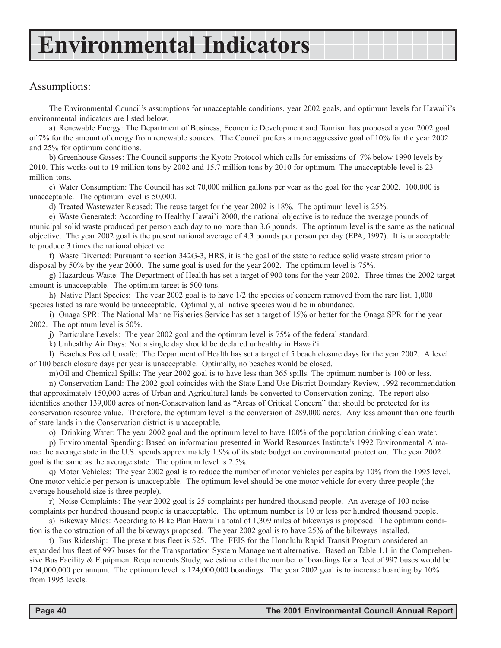### Assumptions:

The Environmental Council's assumptions for unacceptable conditions, year 2002 goals, and optimum levels for Hawai`i's environmental indicators are listed below.

a) Renewable Energy: The Department of Business, Economic Development and Tourism has proposed a year 2002 goal of 7% for the amount of energy from renewable sources. The Council prefers a more aggressive goal of 10% for the year 2002 and 25% for optimum conditions.

b) Greenhouse Gasses: The Council supports the Kyoto Protocol which calls for emissions of 7% below 1990 levels by 2010. This works out to 19 million tons by 2002 and 15.7 million tons by 2010 for optimum. The unacceptable level is 23 million tons.

c) Water Consumption: The Council has set 70,000 million gallons per year as the goal for the year 2002. 100,000 is unacceptable. The optimum level is 50,000.

d) Treated Wastewater Reused: The reuse target for the year 2002 is 18%. The optimum level is 25%.

e) Waste Generated: According to Healthy Hawai`i 2000, the national objective is to reduce the average pounds of municipal solid waste produced per person each day to no more than 3.6 pounds. The optimum level is the same as the national objective. The year 2002 goal is the present national average of 4.3 pounds per person per day (EPA, 1997). It is unacceptable to produce 3 times the national objective.

f) Waste Diverted: Pursuant to section 342G-3, HRS, it is the goal of the state to reduce solid waste stream prior to disposal by 50% by the year 2000. The same goal is used for the year 2002. The optimum level is 75%.

g) Hazardous Waste: The Department of Health has set a target of 900 tons for the year 2002. Three times the 2002 target amount is unacceptable. The optimum target is 500 tons.

h) Native Plant Species: The year 2002 goal is to have 1/2 the species of concern removed from the rare list. 1,000 species listed as rare would be unacceptable. Optimally, all native species would be in abundance.

i) Onaga SPR: The National Marine Fisheries Service has set a target of 15% or better for the Onaga SPR for the year 2002. The optimum level is 50%.

j) Particulate Levels: The year 2002 goal and the optimum level is 75% of the federal standard.

k) Unhealthy Air Days: Not a single day should be declared unhealthy in Hawai'i.

l) Beaches Posted Unsafe: The Department of Health has set a target of 5 beach closure days for the year 2002. A level of 100 beach closure days per year is unacceptable. Optimally, no beaches would be closed.

m)Oil and Chemical Spills: The year 2002 goal is to have less than 365 spills. The optimum number is 100 or less. n) Conservation Land: The 2002 goal coincides with the State Land Use District Boundary Review, 1992 recommendation that approximately 150,000 acres of Urban and Agricultural lands be converted to Conservation zoning. The report also identifies another 139,000 acres of non-Conservation land as "Areas of Critical Concern" that should be protected for its conservation resource value. Therefore, the optimum level is the conversion of 289,000 acres. Any less amount than one fourth of state lands in the Conservation district is unacceptable.

o) Drinking Water: The year 2002 goal and the optimum level to have 100% of the population drinking clean water.

p) Environmental Spending: Based on information presented in World Resources Institute's 1992 Environmental Almanac the average state in the U.S. spends approximately 1.9% of its state budget on environmental protection. The year 2002 goal is the same as the average state. The optimum level is 2.5%.

q) Motor Vehicles: The year 2002 goal is to reduce the number of motor vehicles per capita by 10% from the 1995 level. One motor vehicle per person is unacceptable. The optimum level should be one motor vehicle for every three people (the average household size is three people).

r) Noise Complaints: The year 2002 goal is 25 complaints per hundred thousand people. An average of 100 noise complaints per hundred thousand people is unacceptable. The optimum number is 10 or less per hundred thousand people.

s) Bikeway Miles: According to Bike Plan Hawai`i a total of 1,309 miles of bikeways is proposed. The optimum condition is the construction of all the bikeways proposed. The year 2002 goal is to have 25% of the bikeways installed.

t) Bus Ridership: The present bus fleet is 525. The FEIS for the Honolulu Rapid Transit Program considered an expanded bus fleet of 997 buses for the Transportation System Management alternative. Based on Table 1.1 in the Comprehensive Bus Facility & Equipment Requirements Study, we estimate that the number of boardings for a fleet of 997 buses would be 124,000,000 per annum. The optimum level is 124,000,000 boardings. The year 2002 goal is to increase boarding by 10% from 1995 levels.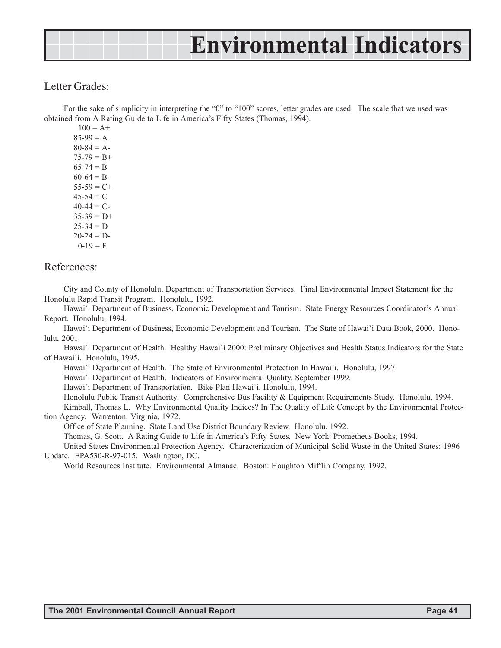### Letter Grades:

For the sake of simplicity in interpreting the "0" to "100" scores, letter grades are used. The scale that we used was obtained from A Rating Guide to Life in America's Fifty States (Thomas, 1994).

 $100 = A +$  $85-99 = A$  $80-84 = A$  $75-79 = B+$  $65-74 = B$  $60-64 = B$  $55-59 = C+$  $45-54 = C$  $40-44 = C$  $35-39 = D+$  $25-34 = D$  $20-24 = D$  $0-19 = F$ 

### References:

City and County of Honolulu, Department of Transportation Services. Final Environmental Impact Statement for the Honolulu Rapid Transit Program. Honolulu, 1992.

Hawai`i Department of Business, Economic Development and Tourism. State Energy Resources Coordinator's Annual Report. Honolulu, 1994.

Hawai`i Department of Business, Economic Development and Tourism. The State of Hawai`i Data Book, 2000. Honolulu, 2001.

Hawai`i Department of Health. Healthy Hawai`i 2000: Preliminary Objectives and Health Status Indicators for the State of Hawai`i. Honolulu, 1995.

Hawai`i Department of Health. The State of Environmental Protection In Hawai`i. Honolulu, 1997.

Hawai`i Department of Health. Indicators of Environmental Quality, September 1999.

Hawai`i Department of Transportation. Bike Plan Hawai`i. Honolulu, 1994.

Honolulu Public Transit Authority. Comprehensive Bus Facility & Equipment Requirements Study. Honolulu, 1994.

Kimball, Thomas L. Why Environmental Quality Indices? In The Quality of Life Concept by the Environmental Protection Agency. Warrenton, Virginia, 1972.

Office of State Planning. State Land Use District Boundary Review. Honolulu, 1992.

Thomas, G. Scott. A Rating Guide to Life in America's Fifty States. New York: Prometheus Books, 1994.

United States Environmental Protection Agency. Characterization of Municipal Solid Waste in the United States: 1996 Update. EPA530-R-97-015. Washington, DC.

World Resources Institute. Environmental Almanac. Boston: Houghton Mifflin Company, 1992.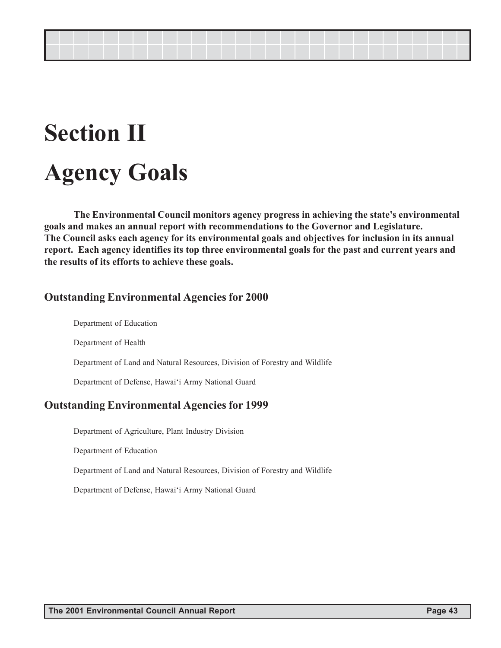# **Section II Agency Goals**

**The Environmental Council monitors agency progress in achieving the state's environmental goals and makes an annual report with recommendations to the Governor and Legislature. The Council asks each agency for its environmental goals and objectives for inclusion in its annual report. Each agency identifies its top three environmental goals for the past and current years and the results of its efforts to achieve these goals.**

### **Outstanding Environmental Agencies for 2000**

Department of Education Department of Health Department of Land and Natural Resources, Division of Forestry and Wildlife Department of Defense, Hawai'i Army National Guard

### **Outstanding Environmental Agencies for 1999**

Department of Agriculture, Plant Industry Division

Department of Education

Department of Land and Natural Resources, Division of Forestry and Wildlife

Department of Defense, Hawai'i Army National Guard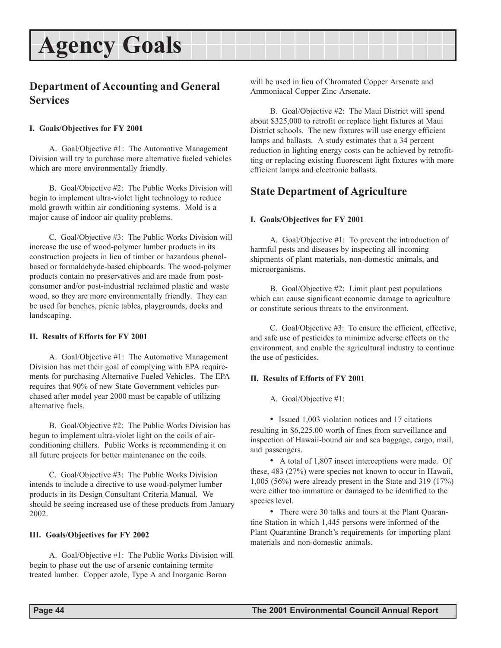# **Agency Goals**

### **Department of Accounting and General Services**

### **I. Goals/Objectives for FY 2001**

A. Goal/Objective #1: The Automotive Management Division will try to purchase more alternative fueled vehicles which are more environmentally friendly.

B. Goal/Objective #2: The Public Works Division will begin to implement ultra-violet light technology to reduce mold growth within air conditioning systems. Mold is a major cause of indoor air quality problems.

C. Goal/Objective #3: The Public Works Division will increase the use of wood-polymer lumber products in its construction projects in lieu of timber or hazardous phenolbased or formaldehyde-based chipboards. The wood-polymer products contain no preservatives and are made from postconsumer and/or post-industrial reclaimed plastic and waste wood, so they are more environmentally friendly. They can be used for benches, picnic tables, playgrounds, docks and landscaping.

### **II. Results of Efforts for FY 2001**

A. Goal/Objective #1: The Automotive Management Division has met their goal of complying with EPA requirements for purchasing Alternative Fueled Vehicles. The EPA requires that 90% of new State Government vehicles purchased after model year 2000 must be capable of utilizing alternative fuels.

B. Goal/Objective #2: The Public Works Division has begun to implement ultra-violet light on the coils of airconditioning chillers. Public Works is recommending it on all future projects for better maintenance on the coils.

C. Goal/Objective #3: The Public Works Division intends to include a directive to use wood-polymer lumber products in its Design Consultant Criteria Manual. We should be seeing increased use of these products from January 2002.

### **III. Goals/Objectives for FY 2002**

A. Goal/Objective #1: The Public Works Division will begin to phase out the use of arsenic containing termite treated lumber. Copper azole, Type A and Inorganic Boron

will be used in lieu of Chromated Copper Arsenate and Ammoniacal Copper Zinc Arsenate.

B. Goal/Objective #2: The Maui District will spend about \$325,000 to retrofit or replace light fixtures at Maui District schools. The new fixtures will use energy efficient lamps and ballasts. A study estimates that a 34 percent reduction in lighting energy costs can be achieved by retrofitting or replacing existing fluorescent light fixtures with more efficient lamps and electronic ballasts.

### **State Department of Agriculture**

### **I. Goals/Objectives for FY 2001**

A. Goal/Objective #1: To prevent the introduction of harmful pests and diseases by inspecting all incoming shipments of plant materials, non-domestic animals, and microorganisms.

B. Goal/Objective #2: Limit plant pest populations which can cause significant economic damage to agriculture or constitute serious threats to the environment.

C. Goal/Objective #3: To ensure the efficient, effective, and safe use of pesticides to minimize adverse effects on the environment, and enable the agricultural industry to continue the use of pesticides.

### **II. Results of Efforts of FY 2001**

A. Goal/Objective #1:

• Issued 1,003 violation notices and 17 citations resulting in \$6,225.00 worth of fines from surveillance and inspection of Hawaii-bound air and sea baggage, cargo, mail, and passengers.

• A total of 1,807 insect interceptions were made. Of these, 483 (27%) were species not known to occur in Hawaii, 1,005 (56%) were already present in the State and 319 (17%) were either too immature or damaged to be identified to the species level.

• There were 30 talks and tours at the Plant Quarantine Station in which 1,445 persons were informed of the Plant Quarantine Branch's requirements for importing plant materials and non-domestic animals.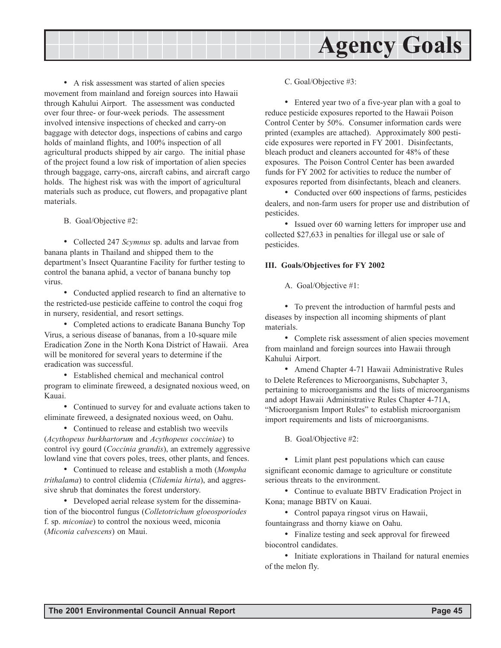

• A risk assessment was started of alien species movement from mainland and foreign sources into Hawaii through Kahului Airport. The assessment was conducted over four three- or four-week periods. The assessment involved intensive inspections of checked and carry-on baggage with detector dogs, inspections of cabins and cargo holds of mainland flights, and 100% inspection of all agricultural products shipped by air cargo. The initial phase of the project found a low risk of importation of alien species through baggage, carry-ons, aircraft cabins, and aircraft cargo holds. The highest risk was with the import of agricultural materials such as produce, cut flowers, and propagative plant materials.

B. Goal/Objective #2:

• Collected 247 *Scymnus* sp. adults and larvae from banana plants in Thailand and shipped them to the department's Insect Quarantine Facility for further testing to control the banana aphid, a vector of banana bunchy top virus.

• Conducted applied research to find an alternative to the restricted-use pesticide caffeine to control the coqui frog in nursery, residential, and resort settings.

• Completed actions to eradicate Banana Bunchy Top Virus, a serious disease of bananas, from a 10-square mile Eradication Zone in the North Kona District of Hawaii. Area will be monitored for several years to determine if the eradication was successful.

• Established chemical and mechanical control program to eliminate fireweed, a designated noxious weed, on Kauai.

• Continued to survey for and evaluate actions taken to eliminate fireweed, a designated noxious weed, on Oahu.

• Continued to release and establish two weevils (*Acythopeus burkhartorum* and *Acythopeus cocciniae*) to control ivy gourd (*Coccinia grandis*), an extremely aggressive lowland vine that covers poles, trees, other plants, and fences.

• Continued to release and establish a moth (*Mompha trithalama*) to control clidemia (*Clidemia hirta*), and aggressive shrub that dominates the forest understory.

• Developed aerial release system for the dissemination of the biocontrol fungus (*Colletotrichum gloeosporiodes* f. sp. *miconiae*) to control the noxious weed, miconia (*Miconia calvescens*) on Maui.

C. Goal/Objective #3:

• Entered year two of a five-year plan with a goal to reduce pesticide exposures reported to the Hawaii Poison Control Center by 50%. Consumer information cards were printed (examples are attached). Approximately 800 pesticide exposures were reported in FY 2001. Disinfectants, bleach product and cleaners accounted for 48% of these exposures. The Poison Control Center has been awarded funds for FY 2002 for activities to reduce the number of exposures reported from disinfectants, bleach and cleaners.

• Conducted over 600 inspections of farms, pesticides dealers, and non-farm users for proper use and distribution of pesticides.

• Issued over 60 warning letters for improper use and collected \$27,633 in penalties for illegal use or sale of pesticides.

### **III. Goals/Objectives for FY 2002**

A. Goal/Objective #1:

• To prevent the introduction of harmful pests and diseases by inspection all incoming shipments of plant materials.

• Complete risk assessment of alien species movement from mainland and foreign sources into Hawaii through Kahului Airport.

• Amend Chapter 4-71 Hawaii Administrative Rules to Delete References to Microorganisms, Subchapter 3, pertaining to microorganisms and the lists of microorganisms and adopt Hawaii Administrative Rules Chapter 4-71A, "Microorganism Import Rules" to establish microorganism import requirements and lists of microorganisms.

B. Goal/Objective #2:

• Limit plant pest populations which can cause significant economic damage to agriculture or constitute serious threats to the environment.

• Continue to evaluate BBTV Eradication Project in Kona; manage BBTV on Kauai.

• Control papaya ringsot virus on Hawaii, fountaingrass and thorny kiawe on Oahu.

• Finalize testing and seek approval for fireweed biocontrol candidates.

• Initiate explorations in Thailand for natural enemies of the melon fly.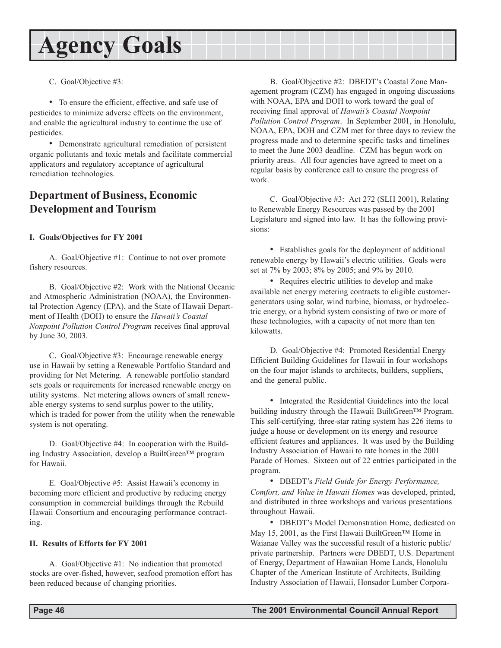# **Agency Goals**

C. Goal/Objective #3:

• To ensure the efficient, effective, and safe use of pesticides to minimize adverse effects on the environment, and enable the agricultural industry to continue the use of pesticides.

• Demonstrate agricultural remediation of persistent organic pollutants and toxic metals and facilitate commercial applicators and regulatory acceptance of agricultural remediation technologies.

### **Department of Business, Economic Development and Tourism**

### **I. Goals/Objectives for FY 2001**

A. Goal/Objective #1: Continue to not over promote fishery resources.

B. Goal/Objective #2: Work with the National Oceanic and Atmospheric Administration (NOAA), the Environmental Protection Agency (EPA), and the State of Hawaii Department of Health (DOH) to ensure the *Hawaii's Coastal Nonpoint Pollution Control Program* receives final approval by June 30, 2003.

C. Goal/Objective #3: Encourage renewable energy use in Hawaii by setting a Renewable Portfolio Standard and providing for Net Metering. A renewable portfolio standard sets goals or requirements for increased renewable energy on utility systems. Net metering allows owners of small renewable energy systems to send surplus power to the utility, which is traded for power from the utility when the renewable system is not operating.

D. Goal/Objective #4: In cooperation with the Building Industry Association, develop a BuiltGreen™ program for Hawaii.

E. Goal/Objective #5: Assist Hawaii's economy in becoming more efficient and productive by reducing energy consumption in commercial buildings through the Rebuild Hawaii Consortium and encouraging performance contracting.

### **II. Results of Efforts for FY 2001**

A. Goal/Objective #1: No indication that promoted stocks are over-fished, however, seafood promotion effort has been reduced because of changing priorities.

B. Goal/Objective #2: DBEDT's Coastal Zone Management program (CZM) has engaged in ongoing discussions with NOAA, EPA and DOH to work toward the goal of receiving final approval of *Hawaii's Coastal Nonpoint Pollution Control Program*. In September 2001, in Honolulu, NOAA, EPA, DOH and CZM met for three days to review the progress made and to determine specific tasks and timelines to meet the June 2003 deadline. CZM has begun work on priority areas. All four agencies have agreed to meet on a regular basis by conference call to ensure the progress of work.

C. Goal/Objective #3: Act 272 (SLH 2001), Relating to Renewable Energy Resources was passed by the 2001 Legislature and signed into law. It has the following provisions:

• Establishes goals for the deployment of additional renewable energy by Hawaii's electric utilities. Goals were set at 7% by 2003; 8% by 2005; and 9% by 2010.

• Requires electric utilities to develop and make available net energy metering contracts to eligible customergenerators using solar, wind turbine, biomass, or hydroelectric energy, or a hybrid system consisting of two or more of these technologies, with a capacity of not more than ten kilowatts.

D. Goal/Objective #4: Promoted Residential Energy Efficient Building Guidelines for Hawaii in four workshops on the four major islands to architects, builders, suppliers, and the general public.

• Integrated the Residential Guidelines into the local building industry through the Hawaii BuiltGreen™ Program. This self-certifying, three-star rating system has 226 items to judge a house or development on its energy and resource efficient features and appliances. It was used by the Building Industry Association of Hawaii to rate homes in the 2001 Parade of Homes. Sixteen out of 22 entries participated in the program.

• DBEDT's *Field Guide for Energy Performance, Comfort, and Value in Hawaii Homes* was developed, printed, and distributed in three workshops and various presentations throughout Hawaii.

• DBEDT's Model Demonstration Home, dedicated on May 15, 2001, as the First Hawaii BuiltGreen™ Home in Waianae Valley was the successful result of a historic public/ private partnership. Partners were DBEDT, U.S. Department of Energy, Department of Hawaiian Home Lands, Honolulu Chapter of the American Institute of Architects, Building Industry Association of Hawaii, Honsador Lumber Corpora-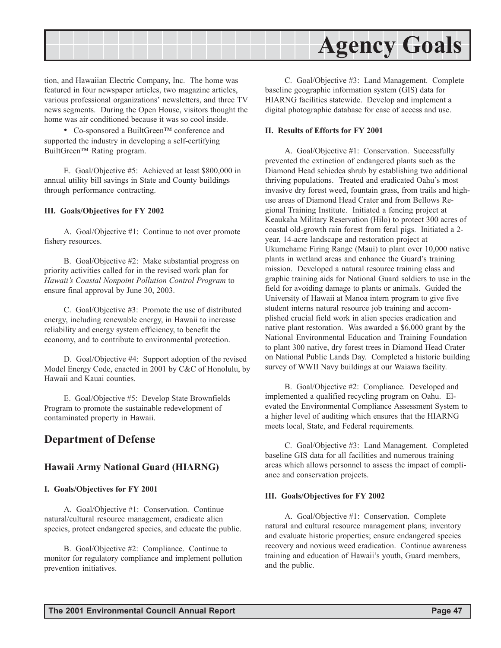

tion, and Hawaiian Electric Company, Inc. The home was featured in four newspaper articles, two magazine articles, various professional organizations' newsletters, and three TV news segments. During the Open House, visitors thought the home was air conditioned because it was so cool inside.

• Co-sponsored a BuiltGreen™ conference and supported the industry in developing a self-certifying BuiltGreen™ Rating program.

E. Goal/Objective #5: Achieved at least \$800,000 in annual utility bill savings in State and County buildings through performance contracting.

#### **III. Goals/Objectives for FY 2002**

A. Goal/Objective #1: Continue to not over promote fishery resources.

B. Goal/Objective #2: Make substantial progress on priority activities called for in the revised work plan for *Hawaii's Coastal Nonpoint Pollution Control Program* to ensure final approval by June 30, 2003.

C. Goal/Objective #3: Promote the use of distributed energy, including renewable energy, in Hawaii to increase reliability and energy system efficiency, to benefit the economy, and to contribute to environmental protection.

D. Goal/Objective #4: Support adoption of the revised Model Energy Code, enacted in 2001 by C&C of Honolulu, by Hawaii and Kauai counties.

E. Goal/Objective #5: Develop State Brownfields Program to promote the sustainable redevelopment of contaminated property in Hawaii.

### **Department of Defense**

### **Hawaii Army National Guard (HIARNG)**

### **I. Goals/Objectives for FY 2001**

A. Goal/Objective #1: Conservation. Continue natural/cultural resource management, eradicate alien species, protect endangered species, and educate the public.

B. Goal/Objective #2: Compliance. Continue to monitor for regulatory compliance and implement pollution prevention initiatives.

C. Goal/Objective #3: Land Management. Complete baseline geographic information system (GIS) data for HIARNG facilities statewide. Develop and implement a digital photographic database for ease of access and use.

#### **II. Results of Efforts for FY 2001**

A. Goal/Objective #1: Conservation. Successfully prevented the extinction of endangered plants such as the Diamond Head schiedea shrub by establishing two additional thriving populations. Treated and eradicated Oahu's most invasive dry forest weed, fountain grass, from trails and highuse areas of Diamond Head Crater and from Bellows Regional Training Institute. Initiated a fencing project at Keaukaha Military Reservation (Hilo) to protect 300 acres of coastal old-growth rain forest from feral pigs. Initiated a 2 year, 14-acre landscape and restoration project at Ukumehame Firing Range (Maui) to plant over 10,000 native plants in wetland areas and enhance the Guard's training mission. Developed a natural resource training class and graphic training aids for National Guard soldiers to use in the field for avoiding damage to plants or animals. Guided the University of Hawaii at Manoa intern program to give five student interns natural resource job training and accomplished crucial field work in alien species eradication and native plant restoration. Was awarded a \$6,000 grant by the National Environmental Education and Training Foundation to plant 300 native, dry forest trees in Diamond Head Crater on National Public Lands Day. Completed a historic building survey of WWII Navy buildings at our Waiawa facility.

B. Goal/Objective #2: Compliance. Developed and implemented a qualified recycling program on Oahu. Elevated the Environmental Compliance Assessment System to a higher level of auditing which ensures that the HIARNG meets local, State, and Federal requirements.

C. Goal/Objective #3: Land Management. Completed baseline GIS data for all facilities and numerous training areas which allows personnel to assess the impact of compliance and conservation projects.

### **III. Goals/Objectives for FY 2002**

A. Goal/Objective #1: Conservation. Complete natural and cultural resource management plans; inventory and evaluate historic properties; ensure endangered species recovery and noxious weed eradication. Continue awareness training and education of Hawaii's youth, Guard members, and the public.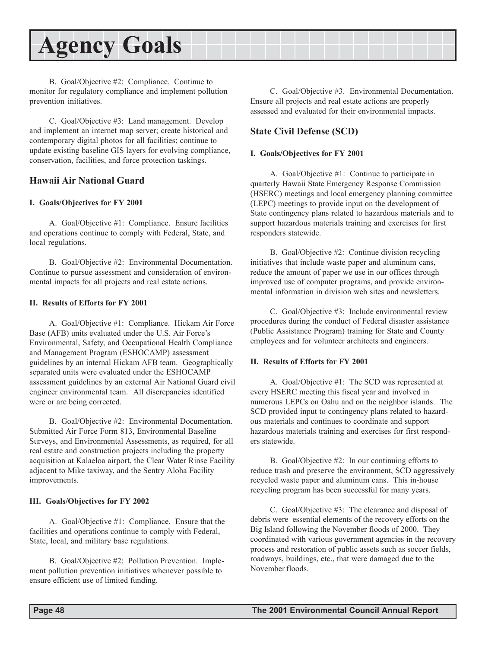# **Agency Goals**

B. Goal/Objective #2: Compliance. Continue to monitor for regulatory compliance and implement pollution prevention initiatives.

C. Goal/Objective #3: Land management. Develop and implement an internet map server; create historical and contemporary digital photos for all facilities; continue to update existing baseline GIS layers for evolving compliance, conservation, facilities, and force protection taskings.

### **Hawaii Air National Guard**

### **I. Goals/Objectives for FY 2001**

A. Goal/Objective #1: Compliance. Ensure facilities and operations continue to comply with Federal, State, and local regulations.

B. Goal/Objective #2: Environmental Documentation. Continue to pursue assessment and consideration of environmental impacts for all projects and real estate actions.

### **II. Results of Efforts for FY 2001**

A. Goal/Objective #1: Compliance. Hickam Air Force Base (AFB) units evaluated under the U.S. Air Force's Environmental, Safety, and Occupational Health Compliance and Management Program (ESHOCAMP) assessment guidelines by an internal Hickam AFB team. Geographically separated units were evaluated under the ESHOCAMP assessment guidelines by an external Air National Guard civil engineer environmental team. All discrepancies identified were or are being corrected.

B. Goal/Objective #2: Environmental Documentation. Submitted Air Force Form 813, Environmental Baseline Surveys, and Environmental Assessments, as required, for all real estate and construction projects including the property acquisition at Kalaeloa airport, the Clear Water Rinse Facility adjacent to Mike taxiway, and the Sentry Aloha Facility improvements.

### **III. Goals/Objectives for FY 2002**

A. Goal/Objective #1: Compliance. Ensure that the facilities and operations continue to comply with Federal, State, local, and military base regulations.

B. Goal/Objective #2: Pollution Prevention. Implement pollution prevention initiatives whenever possible to ensure efficient use of limited funding.

C. Goal/Objective #3. Environmental Documentation. Ensure all projects and real estate actions are properly assessed and evaluated for their environmental impacts.

### **State Civil Defense (SCD)**

### **I. Goals/Objectives for FY 2001**

A. Goal/Objective #1: Continue to participate in quarterly Hawaii State Emergency Response Commission (HSERC) meetings and local emergency planning committee (LEPC) meetings to provide input on the development of State contingency plans related to hazardous materials and to support hazardous materials training and exercises for first responders statewide.

B. Goal/Objective #2: Continue division recycling initiatives that include waste paper and aluminum cans, reduce the amount of paper we use in our offices through improved use of computer programs, and provide environmental information in division web sites and newsletters.

C. Goal/Objective #3: Include environmental review procedures during the conduct of Federal disaster assistance (Public Assistance Program) training for State and County employees and for volunteer architects and engineers.

### **II. Results of Efforts for FY 2001**

A. Goal/Objective #1: The SCD was represented at every HSERC meeting this fiscal year and involved in numerous LEPCs on Oahu and on the neighbor islands. The SCD provided input to contingency plans related to hazardous materials and continues to coordinate and support hazardous materials training and exercises for first responders statewide.

B. Goal/Objective #2: In our continuing efforts to reduce trash and preserve the environment, SCD aggressively recycled waste paper and aluminum cans. This in-house recycling program has been successful for many years.

C. Goal/Objective #3: The clearance and disposal of debris were essential elements of the recovery efforts on the Big Island following the November floods of 2000. They coordinated with various government agencies in the recovery process and restoration of public assets such as soccer fields, roadways, buildings, etc., that were damaged due to the November floods.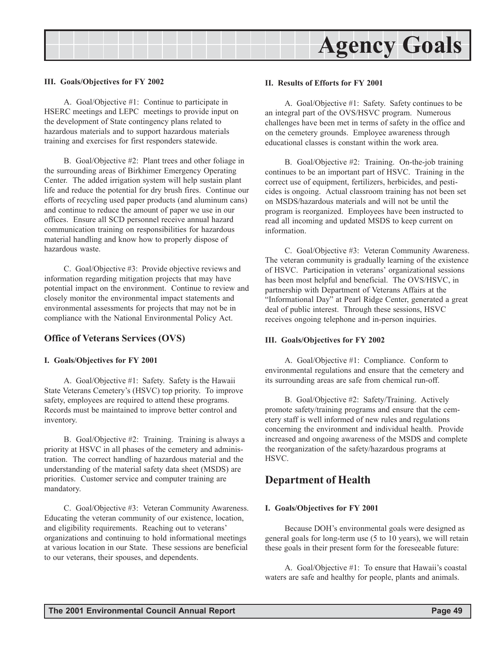

#### **III. Goals/Objectives for FY 2002**

A. Goal/Objective #1: Continue to participate in HSERC meetings and LEPC meetings to provide input on the development of State contingency plans related to hazardous materials and to support hazardous materials training and exercises for first responders statewide.

B. Goal/Objective #2: Plant trees and other foliage in the surrounding areas of Birkhimer Emergency Operating Center. The added irrigation system will help sustain plant life and reduce the potential for dry brush fires. Continue our efforts of recycling used paper products (and aluminum cans) and continue to reduce the amount of paper we use in our offices. Ensure all SCD personnel receive annual hazard communication training on responsibilities for hazardous material handling and know how to properly dispose of hazardous waste.

C. Goal/Objective #3: Provide objective reviews and information regarding mitigation projects that may have potential impact on the environment. Continue to review and closely monitor the environmental impact statements and environmental assessments for projects that may not be in compliance with the National Environmental Policy Act.

### **Office of Veterans Services (OVS)**

#### **I. Goals/Objectives for FY 2001**

A. Goal/Objective #1: Safety. Safety is the Hawaii State Veterans Cemetery's (HSVC) top priority. To improve safety, employees are required to attend these programs. Records must be maintained to improve better control and inventory.

B. Goal/Objective #2: Training. Training is always a priority at HSVC in all phases of the cemetery and administration. The correct handling of hazardous material and the understanding of the material safety data sheet (MSDS) are priorities. Customer service and computer training are mandatory.

C. Goal/Objective #3: Veteran Community Awareness. Educating the veteran community of our existence, location, and eligibility requirements. Reaching out to veterans' organizations and continuing to hold informational meetings at various location in our State. These sessions are beneficial to our veterans, their spouses, and dependents.

#### **II. Results of Efforts for FY 2001**

A. Goal/Objective #1: Safety. Safety continues to be an integral part of the OVS/HSVC program. Numerous challenges have been met in terms of safety in the office and on the cemetery grounds. Employee awareness through educational classes is constant within the work area.

B. Goal/Objective #2: Training. On-the-job training continues to be an important part of HSVC. Training in the correct use of equipment, fertilizers, herbicides, and pesticides is ongoing. Actual classroom training has not been set on MSDS/hazardous materials and will not be until the program is reorganized. Employees have been instructed to read all incoming and updated MSDS to keep current on information.

C. Goal/Objective #3: Veteran Community Awareness. The veteran community is gradually learning of the existence of HSVC. Participation in veterans' organizational sessions has been most helpful and beneficial. The OVS/HSVC, in partnership with Department of Veterans Affairs at the "Informational Day" at Pearl Ridge Center, generated a great deal of public interest. Through these sessions, HSVC receives ongoing telephone and in-person inquiries.

#### **III. Goals/Objectives for FY 2002**

A. Goal/Objective #1: Compliance. Conform to environmental regulations and ensure that the cemetery and its surrounding areas are safe from chemical run-off.

B. Goal/Objective #2: Safety/Training. Actively promote safety/training programs and ensure that the cemetery staff is well informed of new rules and regulations concerning the environment and individual health. Provide increased and ongoing awareness of the MSDS and complete the reorganization of the safety/hazardous programs at HSVC.

### **Department of Health**

#### **I. Goals/Objectives for FY 2001**

Because DOH's environmental goals were designed as general goals for long-term use (5 to 10 years), we will retain these goals in their present form for the foreseeable future:

A. Goal/Objective #1: To ensure that Hawaii's coastal waters are safe and healthy for people, plants and animals.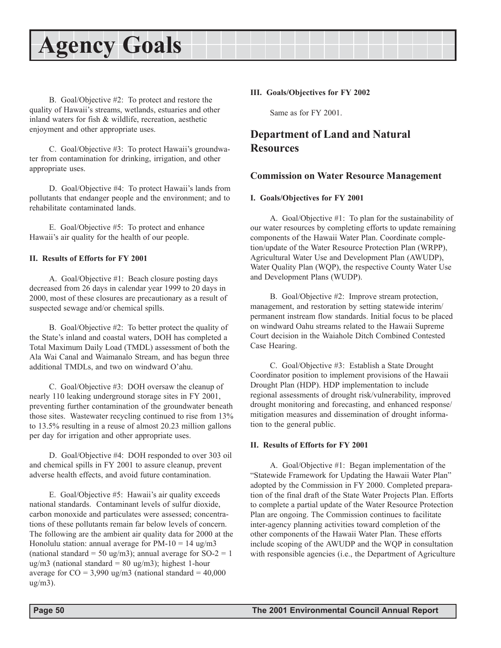# **Agency Goals**

B. Goal/Objective #2: To protect and restore the quality of Hawaii's streams, wetlands, estuaries and other inland waters for fish & wildlife, recreation, aesthetic enjoyment and other appropriate uses.

C. Goal/Objective #3: To protect Hawaii's groundwater from contamination for drinking, irrigation, and other appropriate uses.

D. Goal/Objective #4: To protect Hawaii's lands from pollutants that endanger people and the environment; and to rehabilitate contaminated lands.

E. Goal/Objective #5: To protect and enhance Hawaii's air quality for the health of our people.

### **II. Results of Efforts for FY 2001**

A. Goal/Objective #1: Beach closure posting days decreased from 26 days in calendar year 1999 to 20 days in 2000, most of these closures are precautionary as a result of suspected sewage and/or chemical spills.

B. Goal/Objective #2: To better protect the quality of the State's inland and coastal waters, DOH has completed a Total Maximum Daily Load (TMDL) assessment of both the Ala Wai Canal and Waimanalo Stream, and has begun three additional TMDLs, and two on windward O'ahu.

C. Goal/Objective #3: DOH oversaw the cleanup of nearly 110 leaking underground storage sites in FY 2001, preventing further contamination of the groundwater beneath those sites. Wastewater recycling continued to rise from 13% to 13.5% resulting in a reuse of almost 20.23 million gallons per day for irrigation and other appropriate uses.

D. Goal/Objective #4: DOH responded to over 303 oil and chemical spills in FY 2001 to assure cleanup, prevent adverse health effects, and avoid future contamination.

E. Goal/Objective #5: Hawaii's air quality exceeds national standards. Contaminant levels of sulfur dioxide, carbon monoxide and particulates were assessed; concentrations of these pollutants remain far below levels of concern. The following are the ambient air quality data for 2000 at the Honolulu station: annual average for  $PM-10 = 14$  ug/m3 (national standard = 50 ug/m3); annual average for  $SO-2 = 1$ ug/m3 (national standard =  $80 \text{ ug/m3}$ ); highest 1-hour average for  $CO = 3.990 \text{ ug/m}3$  (national standard = 40,000  $ug/m3$ ).

### **III. Goals/Objectives for FY 2002**

Same as for FY 2001.

# **Department of Land and Natural Resources**

### **Commission on Water Resource Management**

### **I. Goals/Objectives for FY 2001**

A. Goal/Objective #1: To plan for the sustainability of our water resources by completing efforts to update remaining components of the Hawaii Water Plan. Coordinate completion/update of the Water Resource Protection Plan (WRPP), Agricultural Water Use and Development Plan (AWUDP), Water Quality Plan (WQP), the respective County Water Use and Development Plans (WUDP).

B. Goal/Objective #2: Improve stream protection, management, and restoration by setting statewide interim/ permanent instream flow standards. Initial focus to be placed on windward Oahu streams related to the Hawaii Supreme Court decision in the Waiahole Ditch Combined Contested Case Hearing.

C. Goal/Objective #3: Establish a State Drought Coordinator position to implement provisions of the Hawaii Drought Plan (HDP). HDP implementation to include regional assessments of drought risk/vulnerability, improved drought monitoring and forecasting, and enhanced response/ mitigation measures and dissemination of drought information to the general public.

### **II. Results of Efforts for FY 2001**

A. Goal/Objective #1: Began implementation of the "Statewide Framework for Updating the Hawaii Water Plan" adopted by the Commission in FY 2000. Completed preparation of the final draft of the State Water Projects Plan. Efforts to complete a partial update of the Water Resource Protection Plan are ongoing. The Commission continues to facilitate inter-agency planning activities toward completion of the other components of the Hawaii Water Plan. These efforts include scoping of the AWUDP and the WQP in consultation with responsible agencies (i.e., the Department of Agriculture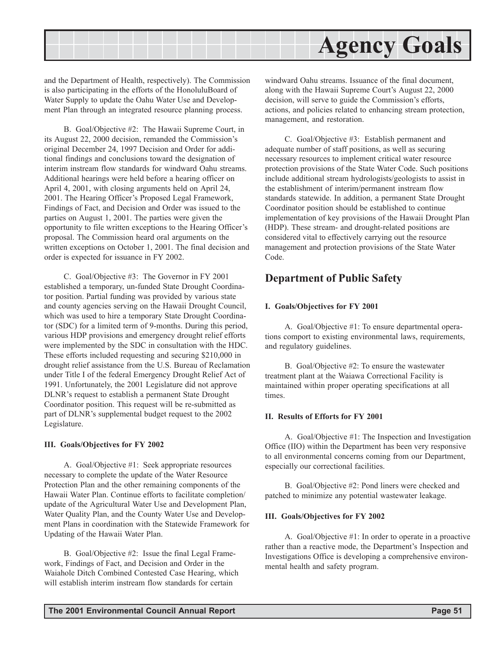

and the Department of Health, respectively). The Commission is also participating in the efforts of the HonoluluBoard of Water Supply to update the Oahu Water Use and Development Plan through an integrated resource planning process.

B. Goal/Objective #2: The Hawaii Supreme Court, in its August 22, 2000 decision, remanded the Commission's original December 24, 1997 Decision and Order for additional findings and conclusions toward the designation of interim instream flow standards for windward Oahu streams. Additional hearings were held before a hearing officer on April 4, 2001, with closing arguments held on April 24, 2001. The Hearing Officer's Proposed Legal Framework, Findings of Fact, and Decision and Order was issued to the parties on August 1, 2001. The parties were given the opportunity to file written exceptions to the Hearing Officer's proposal. The Commission heard oral arguments on the written exceptions on October 1, 2001. The final decision and order is expected for issuance in FY 2002.

C. Goal/Objective #3: The Governor in FY 2001 established a temporary, un-funded State Drought Coordinator position. Partial funding was provided by various state and county agencies serving on the Hawaii Drought Council, which was used to hire a temporary State Drought Coordinator (SDC) for a limited term of 9-months. During this period, various HDP provisions and emergency drought relief efforts were implemented by the SDC in consultation with the HDC. These efforts included requesting and securing \$210,000 in drought relief assistance from the U.S. Bureau of Reclamation under Title I of the federal Emergency Drought Relief Act of 1991. Unfortunately, the 2001 Legislature did not approve DLNR's request to establish a permanent State Drought Coordinator position. This request will be re-submitted as part of DLNR's supplemental budget request to the 2002 Legislature.

### **III. Goals/Objectives for FY 2002**

A. Goal/Objective #1: Seek appropriate resources necessary to complete the update of the Water Resource Protection Plan and the other remaining components of the Hawaii Water Plan. Continue efforts to facilitate completion/ update of the Agricultural Water Use and Development Plan, Water Quality Plan, and the County Water Use and Development Plans in coordination with the Statewide Framework for Updating of the Hawaii Water Plan.

B. Goal/Objective #2: Issue the final Legal Framework, Findings of Fact, and Decision and Order in the Waiahole Ditch Combined Contested Case Hearing, which will establish interim instream flow standards for certain

windward Oahu streams. Issuance of the final document, along with the Hawaii Supreme Court's August 22, 2000 decision, will serve to guide the Commission's efforts, actions, and policies related to enhancing stream protection, management, and restoration.

C. Goal/Objective #3: Establish permanent and adequate number of staff positions, as well as securing necessary resources to implement critical water resource protection provisions of the State Water Code. Such positions include additional stream hydrologists/geologists to assist in the establishment of interim/permanent instream flow standards statewide. In addition, a permanent State Drought Coordinator position should be established to continue implementation of key provisions of the Hawaii Drought Plan (HDP). These stream- and drought-related positions are considered vital to effectively carrying out the resource management and protection provisions of the State Water Code.

### **Department of Public Safety**

### **I. Goals/Objectives for FY 2001**

A. Goal/Objective #1: To ensure departmental operations comport to existing environmental laws, requirements, and regulatory guidelines.

B. Goal/Objective #2: To ensure the wastewater treatment plant at the Waiawa Correctional Facility is maintained within proper operating specifications at all times.

### **II. Results of Efforts for FY 2001**

A. Goal/Objective #1: The Inspection and Investigation Office (IIO) within the Department has been very responsive to all environmental concerns coming from our Department, especially our correctional facilities.

B. Goal/Objective #2: Pond liners were checked and patched to minimize any potential wastewater leakage.

#### **III. Goals/Objectives for FY 2002**

A. Goal/Objective #1: In order to operate in a proactive rather than a reactive mode, the Department's Inspection and Investigations Office is developing a comprehensive environmental health and safety program.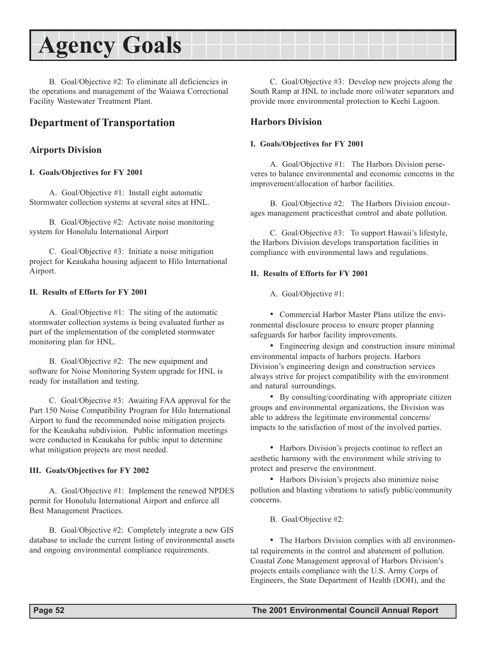# **Agency Goals**

B. Goal/Objective #2: To eliminate all deficiencies in the operations and management of the Waiawa Correctional Facility Wastewater Treatment Plant.

### **Department of Transportation**

### **Airports Division**

### **I. Goals/Objectives for FY 2001**

A. Goal/Objective #1: Install eight automatic Stormwater collection systems at several sites at HNL.

B. Goal/Objective #2: Activate noise monitoring system for Honolulu International Airport

C. Goal/Objective #3: Initiate a noise mitigation project for Keaukaha housing adjacent to Hilo International Airport.

### **II. Results of Efforts for FY 2001**

A. Goal/Objective #1: The siting of the automatic stormwater collection systems is being evaluated further as part of the implementation of the completed stormwater monitoring plan for HNL.

B. Goal/Objective #2: The new equipment and software for Noise Monitoring System upgrade for HNL is ready for installation and testing.

C. Goal/Objective #3: Awaiting FAA approval for the Part 150 Noise Compatibility Program for Hilo International Airport to fund the recommended noise mitigation projects for the Keaukaha subdivision. Public information meetings were conducted in Keaukaha for public input to determine what mitigation projects are most needed.

### **III. Goals/Objectives for FY 2002**

A. Goal/Objective #1: Implement the renewed NPDES permit for Honolulu International Airport and enforce all Best Management Practices.

B. Goal/Objective #2: Completely integrate a new GIS database to include the current listing of environmental assets and ongoing environmental compliance requirements.

C. Goal/Objective #3: Develop new projects along the South Ramp at HNL to include more oil/water separators and provide more environmental protection to Keehi Lagoon.

### **Harbors Division**

### **I. Goals/Objectives for FY 2001**

A. Goal/Objective #1: The Harbors Division perseveres to balance environmental and economic concerns in the improvement/allocation of harbor facilities.

B. Goal/Objective #2: The Harbors Division encourages management practicesthat control and abate pollution.

C. Goal/Objective #3: To support Hawaii's lifestyle, the Harbors Division develops transportation facilities in compliance with environmental laws and regulations.

### **II. Results of Efforts for FY 2001**

A. Goal/Objective #1:

• Commercial Harbor Master Plans utilize the environmental disclosure process to ensure proper planning safeguards for harbor facility improvements.

• Engineering design and construction insure minimal environmental impacts of harbors projects. Harbors Division's engineering design and construction services always strive for project compatibility with the environment and natural surroundings.

• By consulting/coordinating with appropriate citizen groups and environmental organizations, the Division was able to address the legitimate environmental concerns/ impacts to the satisfaction of most of the involved parties.

• Harbors Division's projects continue to reflect an aesthetic harmony with the environment while striving to protect and preserve the environment.

• Harbors Division's projects also minimize noise pollution and blasting vibrations to satisfy public/community concerns.

B. Goal/Objective #2:

• The Harbors Division complies with all environmental requirements in the control and abatement of pollution. Coastal Zone Management approval of Harbors Division's projects entails compliance with the U.S. Army Corps of Engineers, the State Department of Health (DOH), and the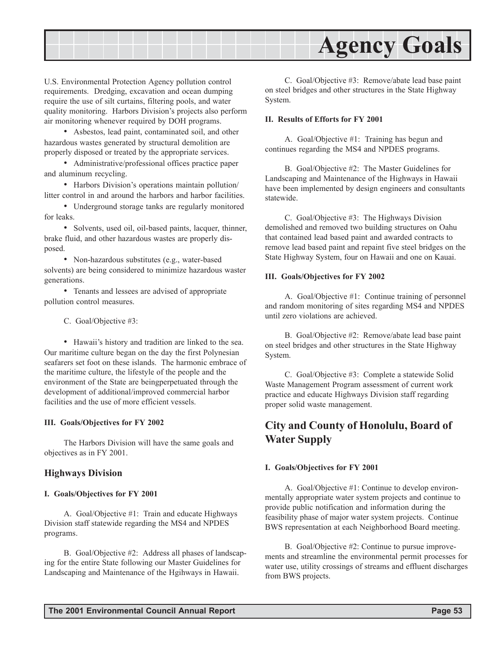

U.S. Environmental Protection Agency pollution control requirements. Dredging, excavation and ocean dumping require the use of silt curtains, filtering pools, and water quality monitoring. Harbors Division's projects also perform air monitoring whenever required by DOH programs.

• Asbestos, lead paint, contaminated soil, and other hazardous wastes generated by structural demolition are properly disposed or treated by the appropriate services.

• Administrative/professional offices practice paper and aluminum recycling.

• Harbors Division's operations maintain pollution/ litter control in and around the harbors and harbor facilities.

• Underground storage tanks are regularly monitored for leaks.

• Solvents, used oil, oil-based paints, lacquer, thinner, brake fluid, and other hazardous wastes are properly disposed.

• Non-hazardous substitutes (e.g., water-based solvents) are being considered to minimize hazardous waster generations.

• Tenants and lessees are advised of appropriate pollution control measures.

C. Goal/Objective #3:

• Hawaii's history and tradition are linked to the sea. Our maritime culture began on the day the first Polynesian seafarers set foot on these islands. The harmonic embrace of the maritime culture, the lifestyle of the people and the environment of the State are beingperpetuated through the development of additional/improved commercial harbor facilities and the use of more efficient vessels.

### **III. Goals/Objectives for FY 2002**

The Harbors Division will have the same goals and objectives as in FY 2001.

### **Highways Division**

### **I. Goals/Objectives for FY 2001**

A. Goal/Objective #1: Train and educate Highways Division staff statewide regarding the MS4 and NPDES programs.

B. Goal/Objective #2: Address all phases of landscaping for the entire State following our Master Guidelines for Landscaping and Maintenance of the Hgihways in Hawaii.

C. Goal/Objective #3: Remove/abate lead base paint on steel bridges and other structures in the State Highway System.

### **II. Results of Efforts for FY 2001**

A. Goal/Objective #1: Training has begun and continues regarding the MS4 and NPDES programs.

B. Goal/Objective #2: The Master Guidelines for Landscaping and Maintenance of the Highways in Hawaii have been implemented by design engineers and consultants statewide.

C. Goal/Objective #3: The Highways Division demolished and removed two building structures on Oahu that contained lead based paint and awarded contracts to remove lead based paint and repaint five steel bridges on the State Highway System, four on Hawaii and one on Kauai.

### **III. Goals/Objectives for FY 2002**

A. Goal/Objective #1: Continue training of personnel and random monitoring of sites regarding MS4 and NPDES until zero violations are achieved.

B. Goal/Objective #2: Remove/abate lead base paint on steel bridges and other structures in the State Highway System.

C. Goal/Objective #3: Complete a statewide Solid Waste Management Program assessment of current work practice and educate Highways Division staff regarding proper solid waste management.

### **City and County of Honolulu, Board of Water Supply**

### **I. Goals/Objectives for FY 2001**

A. Goal/Objective #1: Continue to develop environmentally appropriate water system projects and continue to provide public notification and information during the feasibility phase of major water system projects. Continue BWS representation at each Neighborhood Board meeting.

B. Goal/Objective #2: Continue to pursue improvements and streamline the environmental permit processes for water use, utility crossings of streams and effluent discharges from BWS projects.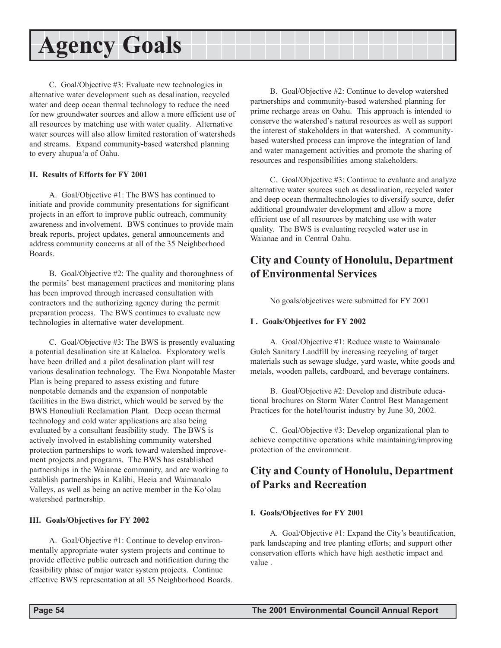# **Agency Goals**

C. Goal/Objective #3: Evaluate new technologies in alternative water development such as desalination, recycled water and deep ocean thermal technology to reduce the need for new groundwater sources and allow a more efficient use of all resources by matching use with water quality. Alternative water sources will also allow limited restoration of watersheds and streams. Expand community-based watershed planning to every ahupua'a of Oahu.

### **II. Results of Efforts for FY 2001**

A. Goal/Objective #1: The BWS has continued to initiate and provide community presentations for significant projects in an effort to improve public outreach, community awareness and involvement. BWS continues to provide main break reports, project updates, general announcements and address community concerns at all of the 35 Neighborhood Boards.

B. Goal/Objective #2: The quality and thoroughness of the permits' best management practices and monitoring plans has been improved through increased consultation with contractors and the authorizing agency during the permit preparation process. The BWS continues to evaluate new technologies in alternative water development.

C. Goal/Objective #3: The BWS is presently evaluating a potential desalination site at Kalaeloa. Exploratory wells have been drilled and a pilot desalination plant will test various desalination technology. The Ewa Nonpotable Master Plan is being prepared to assess existing and future nonpotable demands and the expansion of nonpotable facilities in the Ewa district, which would be served by the BWS Honouliuli Reclamation Plant. Deep ocean thermal technology and cold water applications are also being evaluated by a consultant feasibility study. The BWS is actively involved in establishing community watershed protection partnerships to work toward watershed improvement projects and programs. The BWS has established partnerships in the Waianae community, and are working to establish partnerships in Kalihi, Heeia and Waimanalo Valleys, as well as being an active member in the Ko'olau watershed partnership.

### **III. Goals/Objectives for FY 2002**

A. Goal/Objective #1: Continue to develop environmentally appropriate water system projects and continue to provide effective public outreach and notification during the feasibility phase of major water system projects. Continue effective BWS representation at all 35 Neighborhood Boards.

B. Goal/Objective #2: Continue to develop watershed partnerships and community-based watershed planning for prime recharge areas on Oahu. This approach is intended to conserve the watershed's natural resources as well as support the interest of stakeholders in that watershed. A communitybased watershed process can improve the integration of land and water management activities and promote the sharing of resources and responsibilities among stakeholders.

C. Goal/Objective #3: Continue to evaluate and analyze alternative water sources such as desalination, recycled water and deep ocean thermaltechnologies to diversify source, defer additional groundwater development and allow a more efficient use of all resources by matching use with water quality. The BWS is evaluating recycled water use in Waianae and in Central Oahu.

# **City and County of Honolulu, Department of Environmental Services**

No goals/objectives were submitted for FY 2001

### **I . Goals/Objectives for FY 2002**

A. Goal/Objective #1: Reduce waste to Waimanalo Gulch Sanitary Landfill by increasing recycling of target materials such as sewage sludge, yard waste, white goods and metals, wooden pallets, cardboard, and beverage containers.

B. Goal/Objective #2: Develop and distribute educational brochures on Storm Water Control Best Management Practices for the hotel/tourist industry by June 30, 2002.

C. Goal/Objective #3: Develop organizational plan to achieve competitive operations while maintaining/improving protection of the environment.

### **City and County of Honolulu, Department of Parks and Recreation**

### **I. Goals/Objectives for FY 2001**

A. Goal/Objective #1: Expand the City's beautification, park landscaping and tree planting efforts; and support other conservation efforts which have high aesthetic impact and value .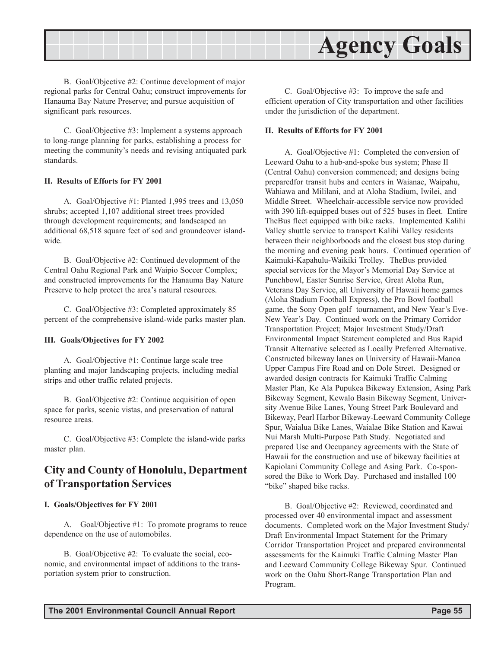

B. Goal/Objective #2: Continue development of major regional parks for Central Oahu; construct improvements for Hanauma Bay Nature Preserve; and pursue acquisition of significant park resources.

C. Goal/Objective #3: Implement a systems approach to long-range planning for parks, establishing a process for meeting the community's needs and revising antiquated park standards.

### **II. Results of Efforts for FY 2001**

A. Goal/Objective #1: Planted 1,995 trees and 13,050 shrubs; accepted 1,107 additional street trees provided through development requirements; and landscaped an additional 68,518 square feet of sod and groundcover islandwide.

B. Goal/Objective #2: Continued development of the Central Oahu Regional Park and Waipio Soccer Complex; and constructed improvements for the Hanauma Bay Nature Preserve to help protect the area's natural resources.

C. Goal/Objective #3: Completed approximately 85 percent of the comprehensive island-wide parks master plan.

#### **III. Goals/Objectives for FY 2002**

A. Goal/Objective #1: Continue large scale tree planting and major landscaping projects, including medial strips and other traffic related projects.

B. Goal/Objective #2: Continue acquisition of open space for parks, scenic vistas, and preservation of natural resource areas.

C. Goal/Objective #3: Complete the island-wide parks master plan.

### **City and County of Honolulu, Department of Transportation Services**

### **I. Goals/Objectives for FY 2001**

A. Goal/Objective #1: To promote programs to reuce dependence on the use of automobiles.

B. Goal/Objective #2: To evaluate the social, economic, and environmental impact of additions to the transportation system prior to construction.

C. Goal/Objective #3: To improve the safe and efficient operation of City transportation and other facilities under the jurisdiction of the department.

#### **II. Results of Efforts for FY 2001**

A. Goal/Objective #1: Completed the conversion of Leeward Oahu to a hub-and-spoke bus system; Phase II (Central Oahu) conversion commenced; and designs being preparedfor transit hubs and centers in Waianae, Waipahu, Wahiawa and Mililani, and at Aloha Stadium, Iwilei, and Middle Street. Wheelchair-accessible service now provided with 390 lift-equipped buses out of 525 buses in fleet. Entire TheBus fleet equipped with bike racks. Implemented Kalihi Valley shuttle service to transport Kalihi Valley residents between their neighborboods and the closest bus stop during the morning and evening peak hours. Continued operation of Kaimuki-Kapahulu-Waikiki Trolley. TheBus provided special services for the Mayor's Memorial Day Service at Punchbowl, Easter Sunrise Service, Great Aloha Run, Veterans Day Service, all University of Hawaii home games (Aloha Stadium Football Express), the Pro Bowl football game, the Sony Open golf tournament, and New Year's Eve-New Year's Day. Continued work on the Primary Corridor Transportation Project; Major Investment Study/Draft Environmental Impact Statement completed and Bus Rapid Transit Alternative selected as Locally Preferred Alternative. Constructed bikeway lanes on University of Hawaii-Manoa Upper Campus Fire Road and on Dole Street. Designed or awarded design contracts for Kaimuki Traffic Calming Master Plan, Ke Ala Pupukea Bikeway Extension, Asing Park Bikeway Segment, Kewalo Basin Bikeway Segment, University Avenue Bike Lanes, Young Street Park Boulevard and Bikeway, Pearl Harbor Bikeway-Leeward Community College Spur, Waialua Bike Lanes, Waialae Bike Station and Kawai Nui Marsh Multi-Purpose Path Study. Negotiated and prepared Use and Occupancy agreements with the State of Hawaii for the construction and use of bikeway facilities at Kapiolani Community College and Asing Park. Co-sponsored the Bike to Work Day. Purchased and installed 100 "bike" shaped bike racks.

B. Goal/Objective #2: Reviewed, coordinated and processed over 40 environmental impact and assessment documents. Completed work on the Major Investment Study/ Draft Environmental Impact Statement for the Primary Corridor Transportation Project and prepared environmental assessments for the Kaimuki Traffic Calming Master Plan and Leeward Community College Bikeway Spur. Continued work on the Oahu Short-Range Transportation Plan and Program.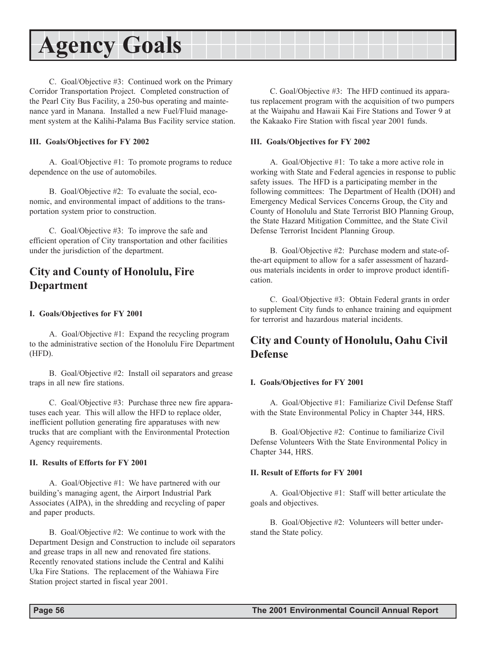# **Agency Goals**

C. Goal/Objective #3: Continued work on the Primary Corridor Transportation Project. Completed construction of the Pearl City Bus Facility, a 250-bus operating and maintenance yard in Manana. Installed a new Fuel/Fluid management system at the Kalihi-Palama Bus Facility service station.

### **III. Goals/Objectives for FY 2002**

A. Goal/Objective #1: To promote programs to reduce dependence on the use of automobiles.

B. Goal/Objective #2: To evaluate the social, economic, and environmental impact of additions to the transportation system prior to construction.

C. Goal/Objective #3: To improve the safe and efficient operation of City transportation and other facilities under the jurisdiction of the department.

### **City and County of Honolulu, Fire Department**

### **I. Goals/Objectives for FY 2001**

A. Goal/Objective #1: Expand the recycling program to the administrative section of the Honolulu Fire Department (HFD).

B. Goal/Objective #2: Install oil separators and grease traps in all new fire stations.

C. Goal/Objective #3: Purchase three new fire apparatuses each year. This will allow the HFD to replace older, inefficient pollution generating fire apparatuses with new trucks that are compliant with the Environmental Protection Agency requirements.

### **II. Results of Efforts for FY 2001**

A. Goal/Objective #1: We have partnered with our building's managing agent, the Airport Industrial Park Associates (AIPA), in the shredding and recycling of paper and paper products.

B. Goal/Objective #2: We continue to work with the Department Design and Construction to include oil separators and grease traps in all new and renovated fire stations. Recently renovated stations include the Central and Kalihi Uka Fire Stations. The replacement of the Wahiawa Fire Station project started in fiscal year 2001.

C. Goal/Objective #3: The HFD continued its apparatus replacement program with the acquisition of two pumpers at the Waipahu and Hawaii Kai Fire Stations and Tower 9 at the Kakaako Fire Station with fiscal year 2001 funds.

### **III. Goals/Objectives for FY 2002**

A. Goal/Objective #1: To take a more active role in working with State and Federal agencies in response to public safety issues. The HFD is a participating member in the following committees: The Department of Health (DOH) and Emergency Medical Services Concerns Group, the City and County of Honolulu and State Terrorist BIO Planning Group, the State Hazard Mitigation Committee, and the State Civil Defense Terrorist Incident Planning Group.

B. Goal/Objective #2: Purchase modern and state-ofthe-art equipment to allow for a safer assessment of hazardous materials incidents in order to improve product identification.

C. Goal/Objective #3: Obtain Federal grants in order to supplement City funds to enhance training and equipment for terrorist and hazardous material incidents.

### **City and County of Honolulu, Oahu Civil Defense**

### **I. Goals/Objectives for FY 2001**

A. Goal/Objective #1: Familiarize Civil Defense Staff with the State Environmental Policy in Chapter 344, HRS.

B. Goal/Objective #2: Continue to familiarize Civil Defense Volunteers With the State Environmental Policy in Chapter 344, HRS.

### **II. Result of Efforts for FY 2001**

A. Goal/Objective #1: Staff will better articulate the goals and objectives.

B. Goal/Objective #2: Volunteers will better understand the State policy.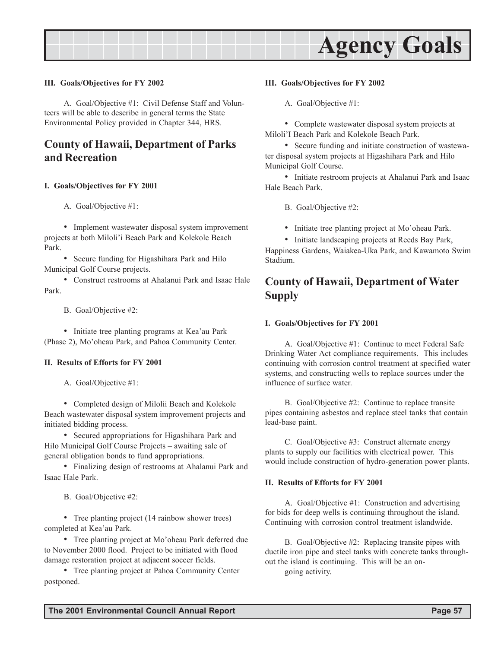

#### **III. Goals/Objectives for FY 2002**

A. Goal/Objective #1: Civil Defense Staff and Volunteers will be able to describe in general terms the State Environmental Policy provided in Chapter 344, HRS.

### **County of Hawaii, Department of Parks and Recreation**

#### **I. Goals/Objectives for FY 2001**

A. Goal/Objective #1:

• Implement wastewater disposal system improvement projects at both Miloli'i Beach Park and Kolekole Beach Park.

• Secure funding for Higashihara Park and Hilo Municipal Golf Course projects.

• Construct restrooms at Ahalanui Park and Isaac Hale Park.

B. Goal/Objective #2:

• Initiate tree planting programs at Kea'au Park (Phase 2), Mo'oheau Park, and Pahoa Community Center.

#### **II. Results of Efforts for FY 2001**

A. Goal/Objective #1:

• Completed design of Milolii Beach and Kolekole Beach wastewater disposal system improvement projects and initiated bidding process.

• Secured appropriations for Higashihara Park and Hilo Municipal Golf Course Projects – awaiting sale of general obligation bonds to fund appropriations.

• Finalizing design of restrooms at Ahalanui Park and Isaac Hale Park.

B. Goal/Objective #2:

• Tree planting project (14 rainbow shower trees) completed at Kea'au Park.

• Tree planting project at Mo'oheau Park deferred due to November 2000 flood. Project to be initiated with flood damage restoration project at adjacent soccer fields.

• Tree planting project at Pahoa Community Center postponed.

#### **III. Goals/Objectives for FY 2002**

A. Goal/Objective #1:

• Complete wastewater disposal system projects at Miloli'I Beach Park and Kolekole Beach Park.

• Secure funding and initiate construction of wastewater disposal system projects at Higashihara Park and Hilo Municipal Golf Course.

• Initiate restroom projects at Ahalanui Park and Isaac Hale Beach Park.

B. Goal/Objective #2:

• Initiate tree planting project at Mo'oheau Park.

• Initiate landscaping projects at Reeds Bay Park,

Happiness Gardens, Waiakea-Uka Park, and Kawamoto Swim Stadium.

### **County of Hawaii, Department of Water Supply**

#### **I. Goals/Objectives for FY 2001**

A. Goal/Objective #1: Continue to meet Federal Safe Drinking Water Act compliance requirements. This includes continuing with corrosion control treatment at specified water systems, and constructing wells to replace sources under the influence of surface water.

B. Goal/Objective #2: Continue to replace transite pipes containing asbestos and replace steel tanks that contain lead-base paint.

C. Goal/Objective #3: Construct alternate energy plants to supply our facilities with electrical power. This would include construction of hydro-generation power plants.

#### **II. Results of Efforts for FY 2001**

A. Goal/Objective #1: Construction and advertising for bids for deep wells is continuing throughout the island. Continuing with corrosion control treatment islandwide.

B. Goal/Objective #2: Replacing transite pipes with ductile iron pipe and steel tanks with concrete tanks throughout the island is continuing. This will be an ongoing activity.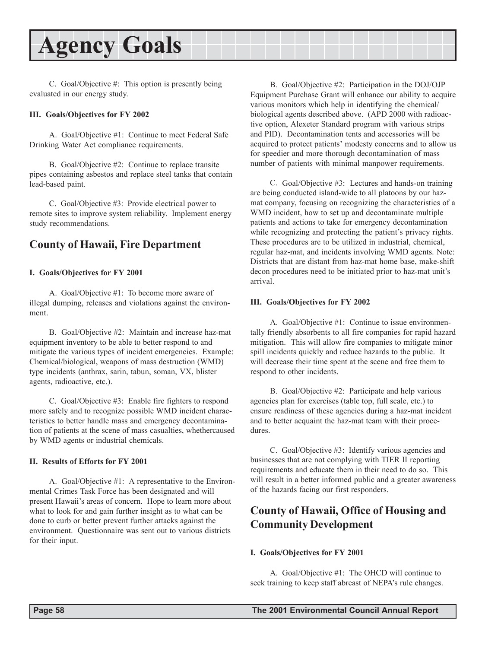# **Agency Goals**

C. Goal/Objective #: This option is presently being evaluated in our energy study.

### **III. Goals/Objectives for FY 2002**

A. Goal/Objective #1: Continue to meet Federal Safe Drinking Water Act compliance requirements.

B. Goal/Objective #2: Continue to replace transite pipes containing asbestos and replace steel tanks that contain lead-based paint.

C. Goal/Objective #3: Provide electrical power to remote sites to improve system reliability. Implement energy study recommendations.

### **County of Hawaii, Fire Department**

### **I. Goals/Objectives for FY 2001**

A. Goal/Objective #1: To become more aware of illegal dumping, releases and violations against the environment.

B. Goal/Objective #2: Maintain and increase haz-mat equipment inventory to be able to better respond to and mitigate the various types of incident emergencies. Example: Chemical/biological, weapons of mass destruction (WMD) type incidents (anthrax, sarin, tabun, soman, VX, blister agents, radioactive, etc.).

C. Goal/Objective #3: Enable fire fighters to respond more safely and to recognize possible WMD incident characteristics to better handle mass and emergency decontamination of patients at the scene of mass casualties, whethercaused by WMD agents or industrial chemicals.

### **II. Results of Efforts for FY 2001**

A. Goal/Objective #1: A representative to the Environmental Crimes Task Force has been designated and will present Hawaii's areas of concern. Hope to learn more about what to look for and gain further insight as to what can be done to curb or better prevent further attacks against the environment. Questionnaire was sent out to various districts for their input.

B. Goal/Objective #2: Participation in the DOJ/OJP Equipment Purchase Grant will enhance our ability to acquire various monitors which help in identifying the chemical/ biological agents described above. (APD 2000 with radioactive option, Alexeter Standard program with various strips and PID). Decontamination tents and accessories will be acquired to protect patients' modesty concerns and to allow us for speedier and more thorough decontamination of mass number of patients with minimal manpower requirements.

C. Goal/Objective #3: Lectures and hands-on training are being conducted island-wide to all platoons by our hazmat company, focusing on recognizing the characteristics of a WMD incident, how to set up and decontaminate multiple patients and actions to take for emergency decontamination while recognizing and protecting the patient's privacy rights. These procedures are to be utilized in industrial, chemical, regular haz-mat, and incidents involving WMD agents. Note: Districts that are distant from haz-mat home base, make-shift decon procedures need to be initiated prior to haz-mat unit's arrival.

### **III. Goals/Objectives for FY 2002**

A. Goal/Objective #1: Continue to issue environmentally friendly absorbents to all fire companies for rapid hazard mitigation. This will allow fire companies to mitigate minor spill incidents quickly and reduce hazards to the public. It will decrease their time spent at the scene and free them to respond to other incidents.

B. Goal/Objective #2: Participate and help various agencies plan for exercises (table top, full scale, etc.) to ensure readiness of these agencies during a haz-mat incident and to better acquaint the haz-mat team with their procedures.

C. Goal/Objective #3: Identify various agencies and businesses that are not complying with TIER II reporting requirements and educate them in their need to do so. This will result in a better informed public and a greater awareness of the hazards facing our first responders.

### **County of Hawaii, Office of Housing and Community Development**

### **I. Goals/Objectives for FY 2001**

A. Goal/Objective #1: The OHCD will continue to seek training to keep staff abreast of NEPA's rule changes.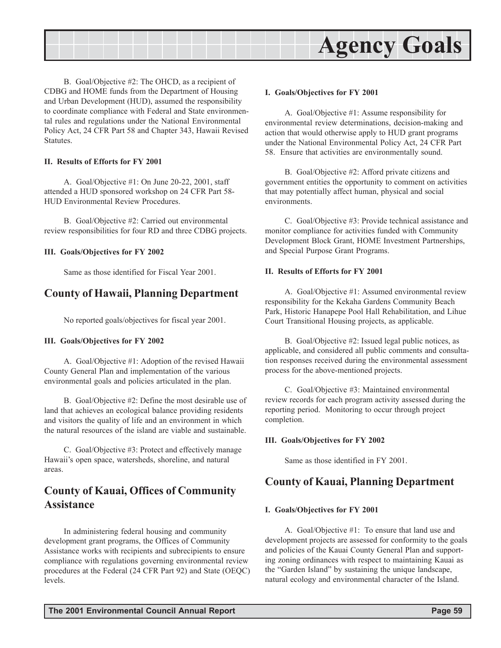

B. Goal/Objective #2: The OHCD, as a recipient of CDBG and HOME funds from the Department of Housing and Urban Development (HUD), assumed the responsibility to coordinate compliance with Federal and State environmental rules and regulations under the National Environmental Policy Act, 24 CFR Part 58 and Chapter 343, Hawaii Revised Statutes.

### **II. Results of Efforts for FY 2001**

A. Goal/Objective #1: On June 20-22, 2001, staff attended a HUD sponsored workshop on 24 CFR Part 58- HUD Environmental Review Procedures.

B. Goal/Objective #2: Carried out environmental review responsibilities for four RD and three CDBG projects.

#### **III. Goals/Objectives for FY 2002**

Same as those identified for Fiscal Year 2001.

### **County of Hawaii, Planning Department**

No reported goals/objectives for fiscal year 2001.

### **III. Goals/Objectives for FY 2002**

A. Goal/Objective #1: Adoption of the revised Hawaii County General Plan and implementation of the various environmental goals and policies articulated in the plan.

B. Goal/Objective #2: Define the most desirable use of land that achieves an ecological balance providing residents and visitors the quality of life and an environment in which the natural resources of the island are viable and sustainable.

C. Goal/Objective #3: Protect and effectively manage Hawaii's open space, watersheds, shoreline, and natural areas.

### **County of Kauai, Offices of Community Assistance**

In administering federal housing and community development grant programs, the Offices of Community Assistance works with recipients and subrecipients to ensure compliance with regulations governing environmental review procedures at the Federal (24 CFR Part 92) and State (OEQC) levels.

#### **I. Goals/Objectives for FY 2001**

A. Goal/Objective #1: Assume responsibility for environmental review determinations, decision-making and action that would otherwise apply to HUD grant programs under the National Environmental Policy Act, 24 CFR Part 58. Ensure that activities are environmentally sound.

B. Goal/Objective #2: Afford private citizens and government entities the opportunity to comment on activities that may potentially affect human, physical and social environments.

C. Goal/Objective #3: Provide technical assistance and monitor compliance for activities funded with Community Development Block Grant, HOME Investment Partnerships, and Special Purpose Grant Programs.

#### **II. Results of Efforts for FY 2001**

A. Goal/Objective #1: Assumed environmental review responsibility for the Kekaha Gardens Community Beach Park, Historic Hanapepe Pool Hall Rehabilitation, and Lihue Court Transitional Housing projects, as applicable.

B. Goal/Objective #2: Issued legal public notices, as applicable, and considered all public comments and consultation responses received during the environmental assessment process for the above-mentioned projects.

C. Goal/Objective #3: Maintained environmental review records for each program activity assessed during the reporting period. Monitoring to occur through project completion.

### **III. Goals/Objectives for FY 2002**

Same as those identified in FY 2001.

### **County of Kauai, Planning Department**

### **I. Goals/Objectives for FY 2001**

A. Goal/Objective #1: To ensure that land use and development projects are assessed for conformity to the goals and policies of the Kauai County General Plan and supporting zoning ordinances with respect to maintaining Kauai as the "Garden Island" by sustaining the unique landscape, natural ecology and environmental character of the Island.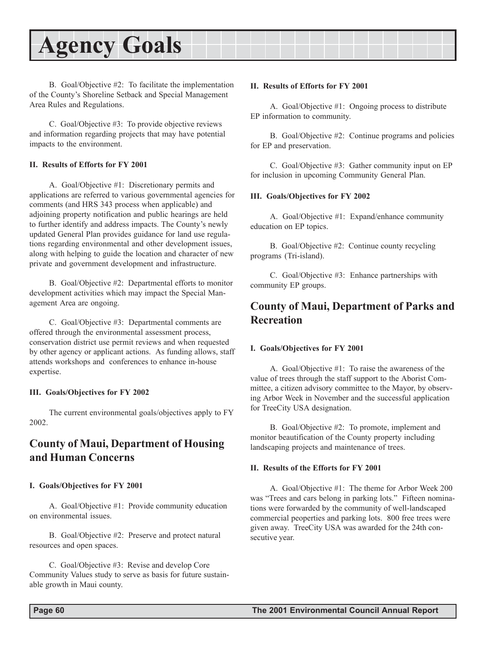# **Agency Goals**

B. Goal/Objective #2: To facilitate the implementation of the County's Shoreline Setback and Special Management Area Rules and Regulations.

C. Goal/Objective #3: To provide objective reviews and information regarding projects that may have potential impacts to the environment.

#### **II. Results of Efforts for FY 2001**

A. Goal/Objective #1: Discretionary permits and applications are referred to various governmental agencies for comments (and HRS 343 process when applicable) and adjoining property notification and public hearings are held to further identify and address impacts. The County's newly updated General Plan provides guidance for land use regulations regarding environmental and other development issues, along with helping to guide the location and character of new private and government development and infrastructure.

B. Goal/Objective #2: Departmental efforts to monitor development activities which may impact the Special Management Area are ongoing.

C. Goal/Objective #3: Departmental comments are offered through the environmental assessment process, conservation district use permit reviews and when requested by other agency or applicant actions. As funding allows, staff attends workshops and conferences to enhance in-house expertise.

### **III. Goals/Objectives for FY 2002**

The current environmental goals/objectives apply to FY 2002.

### **County of Maui, Department of Housing and Human Concerns**

### **I. Goals/Objectives for FY 2001**

A. Goal/Objective #1: Provide community education on environmental issues.

B. Goal/Objective #2: Preserve and protect natural resources and open spaces.

C. Goal/Objective #3: Revise and develop Core Community Values study to serve as basis for future sustainable growth in Maui county.

#### **II. Results of Efforts for FY 2001**

A. Goal/Objective #1: Ongoing process to distribute EP information to community.

B. Goal/Objective #2: Continue programs and policies for EP and preservation.

C. Goal/Objective #3: Gather community input on EP for inclusion in upcoming Community General Plan.

#### **III. Goals/Objectives for FY 2002**

A. Goal/Objective #1: Expand/enhance community education on EP topics.

B. Goal/Objective #2: Continue county recycling programs (Tri-island).

C. Goal/Objective #3: Enhance partnerships with community EP groups.

### **County of Maui, Department of Parks and Recreation**

#### **I. Goals/Objectives for FY 2001**

A. Goal/Objective #1: To raise the awareness of the value of trees through the staff support to the Aborist Committee, a citizen advisory committee to the Mayor, by observing Arbor Week in November and the successful application for TreeCity USA designation.

B. Goal/Objective #2: To promote, implement and monitor beautification of the County property including landscaping projects and maintenance of trees.

#### **II. Results of the Efforts for FY 2001**

A. Goal/Objective #1: The theme for Arbor Week 200 was "Trees and cars belong in parking lots." Fifteen nominations were forwarded by the community of well-landscaped commercial peoperties and parking lots. 800 free trees were given away. TreeCity USA was awarded for the 24th consecutive year.